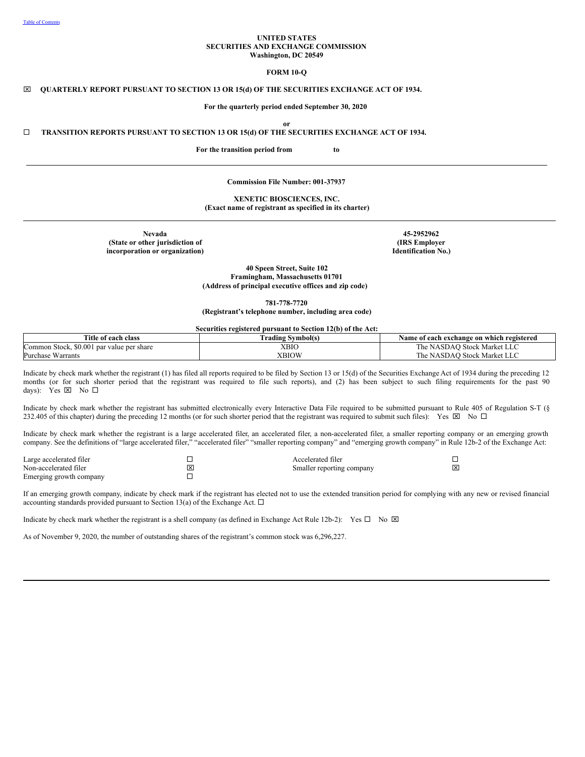## **UNITED STATES SECURITIES AND EXCHANGE COMMISSION Washington, DC 20549**

## **FORM 10-Q**

# x **QUARTERLY REPORT PURSUANT TO SECTION 13 OR 15(d) OF THE SECURITIES EXCHANGE ACT OF 1934.**

**For the quarterly period ended September 30, 2020**

**or**

# ¨ **TRANSITION REPORTS PURSUANT TO SECTION 13 OR 15(d) OF THE SECURITIES EXCHANGE ACT OF 1934.**

**For the transition period from to**

**Commission File Number: 001-37937**

## **XENETIC BIOSCIENCES, INC. (Exact name of registrant as specified in its charter)**

**Nevada (State or other jurisdiction of incorporation or organization)**

**45-2952962 (IRS Employer Identification No.)**

**40 Speen Street, Suite 102 Framingham, Massachusetts 01701 (Address of principal executive offices and zip code)**

**781-778-7720**

**(Registrant's telephone number, including area code)**

## **Securities registered pursuant to Section 12(b) of the Act:**

| Title of each class                       | : Symbol(s)<br>rading | Name of each exchange on which registered |
|-------------------------------------------|-----------------------|-------------------------------------------|
| Common Stock, \$0.001 par value per share | XBIO                  | The NASDAO Stock Market LLC               |
| Purchase<br>: Warrants                    | XBIOW                 | The NASDAO Stock Market LLC               |

Indicate by check mark whether the registrant (1) has filed all reports required to be filed by Section 13 or 15(d) of the Securities Exchange Act of 1934 during the preceding 12 months (or for such shorter period that the registrant was required to file such reports), and (2) has been subject to such filing requirements for the past 90 days): Yes  $\boxtimes$  No  $\square$ 

Indicate by check mark whether the registrant has submitted electronically every Interactive Data File required to be submitted pursuant to Rule 405 of Regulation S-T (§ 232.405 of this chapter) during the preceding 12 months (or for such shorter period that the registrant was required to submit such files): Yes  $\boxtimes$  No  $\square$ 

Indicate by check mark whether the registrant is a large accelerated filer, an accelerated filer, a non-accelerated filer, a smaller reporting company or an emerging growth company. See the definitions of "large accelerated filer," "accelerated filer" "smaller reporting company" and "emerging growth company" in Rule 12b-2 of the Exchange Act:

| Large accelerated filer |            | Accelerated filer         |    |
|-------------------------|------------|---------------------------|----|
| Non-accelerated filer   | <u>Iv.</u> | Smaller reporting company | 1™ |
| Emerging growth company |            |                           |    |

If an emerging growth company, indicate by check mark if the registrant has elected not to use the extended transition period for complying with any new or revised financial accounting standards provided pursuant to Section 13(a) of the Exchange Act.  $\Box$ 

Indicate by check mark whether the registrant is a shell company (as defined in Exchange Act Rule 12b-2): Yes  $\Box$  No  $\boxtimes$ 

As of November 9, 2020, the number of outstanding shares of the registrant's common stock was 6,296,227.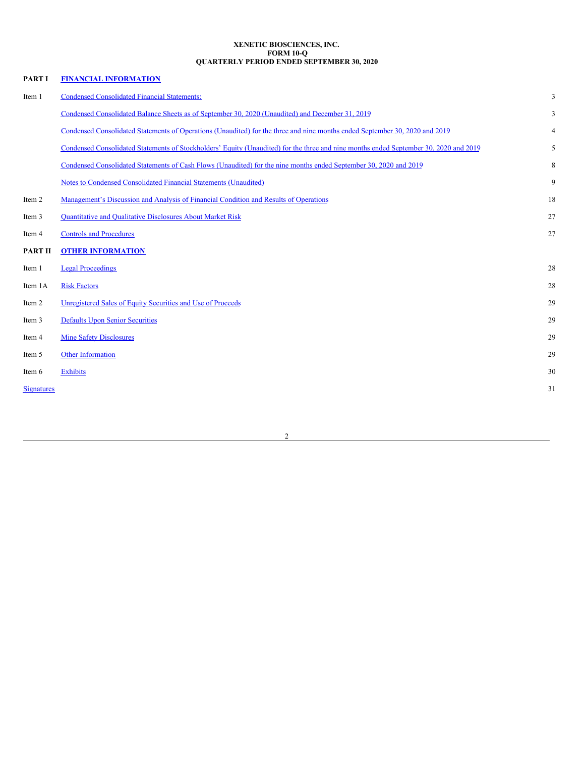# <span id="page-1-0"></span>**XENETIC BIOSCIENCES, INC. FORM 10-Q QUARTERLY PERIOD ENDED SEPTEMBER 30, 2020**

| <b>PART I</b>     | <b>FINANCIAL INFORMATION</b>                                                                                                          |                |
|-------------------|---------------------------------------------------------------------------------------------------------------------------------------|----------------|
| Item 1            | <b>Condensed Consolidated Financial Statements:</b>                                                                                   | 3              |
|                   | Condensed Consolidated Balance Sheets as of September 30, 2020 (Unaudited) and December 31, 2019                                      | 3              |
|                   | Condensed Consolidated Statements of Operations (Unaudited) for the three and nine months ended September 30, 2020 and 2019           | $\overline{4}$ |
|                   | Condensed Consolidated Statements of Stockholders' Equity (Unaudited) for the three and nine months ended September 30, 2020 and 2019 | 5              |
|                   | Condensed Consolidated Statements of Cash Flows (Unaudited) for the nine months ended September 30, 2020 and 2019                     | 8              |
|                   | <b>Notes to Condensed Consolidated Financial Statements (Unaudited)</b>                                                               | 9              |
| Item 2            | Management's Discussion and Analysis of Financial Condition and Results of Operations                                                 | 18             |
| Item 3            | <b>Ouantitative and Oualitative Disclosures About Market Risk</b>                                                                     | 27             |
| Item 4            | <b>Controls and Procedures</b>                                                                                                        | 27             |
| <b>PART II</b>    | <b>OTHER INFORMATION</b>                                                                                                              |                |
| Item 1            | <b>Legal Proceedings</b>                                                                                                              | 28             |
| Item 1A           | <b>Risk Factors</b>                                                                                                                   | 28             |
| Item 2            | Unregistered Sales of Equity Securities and Use of Proceeds                                                                           | 29             |
| Item 3            | <b>Defaults Upon Senior Securities</b>                                                                                                | 29             |
| Item 4            | <b>Mine Safety Disclosures</b>                                                                                                        | 29             |
| Item 5            | <b>Other Information</b>                                                                                                              | 29             |
| Item 6            | <b>Exhibits</b>                                                                                                                       | 30             |
| <b>Signatures</b> |                                                                                                                                       | 31             |
|                   |                                                                                                                                       |                |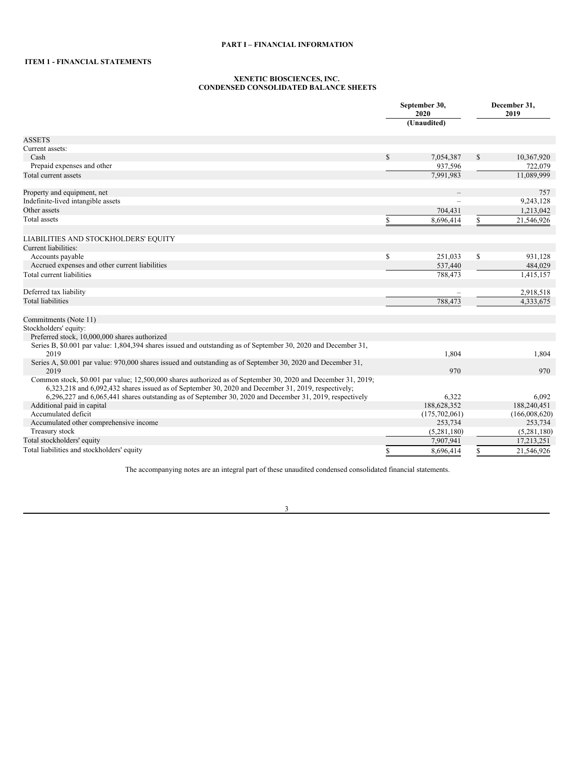# <span id="page-2-1"></span>**ITEM 1 - FINANCIAL STATEMENTS**

## <span id="page-2-2"></span><span id="page-2-0"></span>**XENETIC BIOSCIENCES, INC. CONDENSED CONSOLIDATED BALANCE SHEETS**

|                                                                                                                                                                                                                          | September 30,<br>2020 |    | December 31,<br>2019 |
|--------------------------------------------------------------------------------------------------------------------------------------------------------------------------------------------------------------------------|-----------------------|----|----------------------|
|                                                                                                                                                                                                                          | (Unaudited)           |    |                      |
| <b>ASSETS</b>                                                                                                                                                                                                            |                       |    |                      |
| Current assets:                                                                                                                                                                                                          |                       |    |                      |
| Cash                                                                                                                                                                                                                     | \$<br>7,054,387       | \$ | 10,367,920           |
| Prepaid expenses and other                                                                                                                                                                                               | 937,596               |    | 722,079              |
| Total current assets                                                                                                                                                                                                     | 7.991.983             |    | 11,089,999           |
| Property and equipment, net                                                                                                                                                                                              |                       |    | 757                  |
| Indefinite-lived intangible assets                                                                                                                                                                                       |                       |    | 9,243,128            |
| Other assets                                                                                                                                                                                                             | 704,431               |    | 1,213,042            |
| <b>Total assets</b>                                                                                                                                                                                                      | \$<br>8,696,414       | S  | 21,546,926           |
| LIABILITIES AND STOCKHOLDERS' EQUITY                                                                                                                                                                                     |                       |    |                      |
| Current liabilities:                                                                                                                                                                                                     |                       |    |                      |
| Accounts payable                                                                                                                                                                                                         | \$<br>251,033         | \$ | 931,128              |
| Accrued expenses and other current liabilities                                                                                                                                                                           | 537,440               |    | 484,029              |
| Total current liabilities                                                                                                                                                                                                | 788,473               |    | 1,415,157            |
| Deferred tax liability                                                                                                                                                                                                   |                       |    | 2,918,518            |
| <b>Total liabilities</b>                                                                                                                                                                                                 | 788,473               |    | 4,333,675            |
| Commitments (Note 11)                                                                                                                                                                                                    |                       |    |                      |
| Stockholders' equity:                                                                                                                                                                                                    |                       |    |                      |
| Preferred stock, 10,000,000 shares authorized                                                                                                                                                                            |                       |    |                      |
| Series B, \$0.001 par value: 1,804,394 shares issued and outstanding as of September 30, 2020 and December 31,<br>2019                                                                                                   | 1,804                 |    | 1,804                |
| Series A, \$0.001 par value: 970,000 shares issued and outstanding as of September 30, 2020 and December 31,                                                                                                             |                       |    |                      |
| 2019                                                                                                                                                                                                                     | 970                   |    | 970                  |
| Common stock, \$0.001 par value; 12,500,000 shares authorized as of September 30, 2020 and December 31, 2019;<br>$6,323,218$ and $6,092,432$ shares issued as of September 30, 2020 and December 31, 2019, respectively; |                       |    |                      |
| $6,296,227$ and $6,065,441$ shares outstanding as of September 30, 2020 and December 31, 2019, respectively                                                                                                              | 6,322                 |    | 6.092                |
| Additional paid in capital                                                                                                                                                                                               | 188,628,352           |    | 188,240,451          |
| Accumulated deficit                                                                                                                                                                                                      | (175, 702, 061)       |    | (166,008,620)        |
| Accumulated other comprehensive income                                                                                                                                                                                   | 253,734               |    | 253,734              |
| Treasury stock                                                                                                                                                                                                           | (5,281,180)           |    | (5,281,180)          |
| Total stockholders' equity                                                                                                                                                                                               | 7,907,941             |    | 17,213,251           |
| Total liabilities and stockholders' equity                                                                                                                                                                               | \$<br>8.696.414       | S. | 21.546.926           |

The accompanying notes are an integral part of these unaudited condensed consolidated financial statements.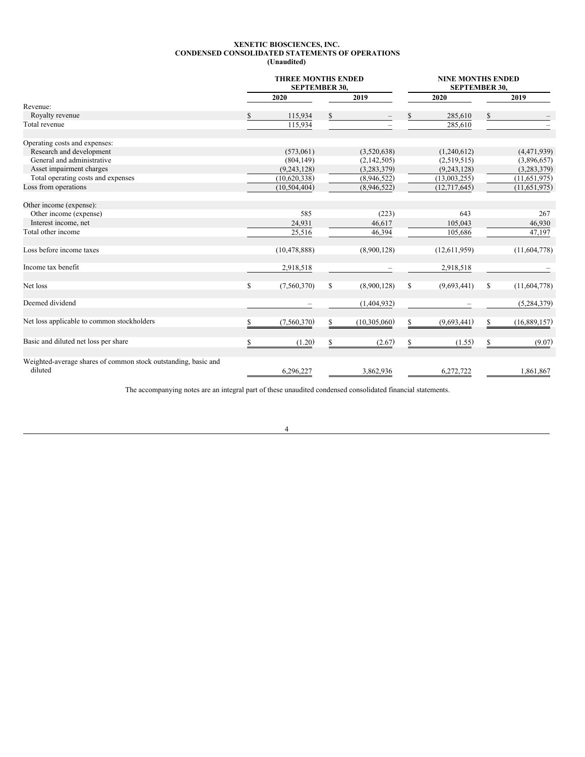## <span id="page-3-0"></span>**XENETIC BIOSCIENCES, INC. CONDENSED CONSOLIDATED STATEMENTS OF OPERATIONS (Unaudited)**

|                                                                           |    | <b>THREE MONTHS ENDED</b><br><b>SEPTEMBER 30,</b> |                    | <b>NINE MONTHS ENDED</b><br><b>SEPTEMBER 30,</b> |              |              |               |
|---------------------------------------------------------------------------|----|---------------------------------------------------|--------------------|--------------------------------------------------|--------------|--------------|---------------|
|                                                                           |    | 2020                                              | 2019               |                                                  | 2020         |              | 2019          |
| Revenue:                                                                  |    |                                                   |                    |                                                  |              |              |               |
| Royalty revenue                                                           |    | 115,934                                           | \$                 | \$                                               | 285,610      | \$           |               |
| Total revenue                                                             |    | 115,934                                           |                    |                                                  | 285,610      |              |               |
| Operating costs and expenses:                                             |    |                                                   |                    |                                                  |              |              |               |
| Research and development                                                  |    | (573,061)                                         | (3,520,638)        |                                                  | (1,240,612)  |              | (4,471,939)   |
| General and administrative                                                |    | (804, 149)                                        | (2,142,505)        |                                                  | (2,519,515)  |              | (3,896,657)   |
| Asset impairment charges                                                  |    | (9,243,128)                                       | (3,283,379)        |                                                  | (9,243,128)  |              | (3,283,379)   |
| Total operating costs and expenses                                        |    | (10,620,338)                                      | (8,946,522)        |                                                  | (13,003,255) |              | (11,651,975)  |
| Loss from operations                                                      |    | (10, 504, 404)                                    | (8,946,522)        |                                                  | (12,717,645) |              | (11,651,975)  |
| Other income (expense):                                                   |    |                                                   |                    |                                                  |              |              |               |
| Other income (expense)                                                    |    | 585                                               | (223)              |                                                  | 643          |              | 267           |
| Interest income, net                                                      |    | 24,931                                            | 46,617             |                                                  | 105,043      |              | 46,930        |
| Total other income                                                        |    | 25,516                                            | 46,394             |                                                  | 105,686      |              | 47,197        |
| Loss before income taxes                                                  |    | (10, 478, 888)                                    | (8,900,128)        |                                                  | (12,611,959) |              | (11,604,778)  |
| Income tax benefit                                                        |    | 2,918,518                                         |                    |                                                  | 2,918,518    |              |               |
| Net loss                                                                  | \$ | (7,560,370)                                       | \$<br>(8,900,128)  | \$                                               | (9,693,441)  | S            | (11,604,778)  |
| Deemed dividend                                                           |    |                                                   | (1,404,932)        |                                                  |              |              | (5, 284, 379) |
| Net loss applicable to common stockholders                                |    | (7,560,370)                                       | \$<br>(10,305,060) | \$                                               | (9,693,441)  | $\mathbb{S}$ | (16,889,157)  |
| Basic and diluted net loss per share                                      | S. | (1.20)                                            | \$<br>(2.67)       | \$                                               | (1.55)       | \$           | (9.07)        |
| Weighted-average shares of common stock outstanding, basic and<br>diluted |    | 6,296,227                                         | 3,862,936          |                                                  | 6,272,722    |              | 1,861,867     |

The accompanying notes are an integral part of these unaudited condensed consolidated financial statements.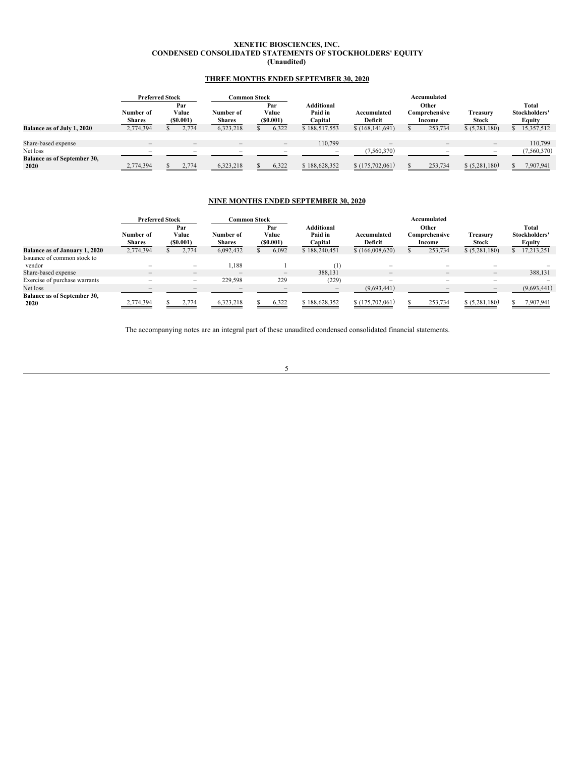# <span id="page-4-0"></span>**XENETIC BIOSCIENCES, INC. CONDENSED CONSOLIDATED STATEMENTS OF STOCKHOLDERS' EQUITY (Unaudited)**

# **THREE MONTHS ENDED SEPTEMBER 30, 2020**

|                                            | <b>Preferred Stock</b>     |                          |                            | Common Stock             |                                  |                        | Accumulated                      |                          |                                         |  |  |
|--------------------------------------------|----------------------------|--------------------------|----------------------------|--------------------------|----------------------------------|------------------------|----------------------------------|--------------------------|-----------------------------------------|--|--|
|                                            | Number of<br><b>Shares</b> | Par<br>Value<br>(S0.001) | Number of<br><b>Shares</b> | Par<br>Value<br>(S0.001) | Additional<br>Paid in<br>Capital | Accumulated<br>Deficit | Other<br>Comprehensive<br>Income | <b>Treasury</b><br>Stock | Total<br>Stockholders'<br><b>Equity</b> |  |  |
| Balance as of July 1, 2020                 | 2,774,394                  | 2.774                    | 6,323,218                  | 6,322                    | \$188,517,553                    | \$(168, 141, 691)      | 253,734                          | \$ (5,281,180)           | 15,357,512                              |  |  |
| Share-based expense                        |                            | $\overline{\phantom{a}}$ |                            |                          | 110,799                          | $\qquad \qquad -$      |                                  |                          | 110,799                                 |  |  |
| Net loss                                   |                            |                          |                            |                          | -                                | (7,560,370)            |                                  |                          | (7,560,370)                             |  |  |
| <b>Balance as of September 30,</b><br>2020 | 2,774,394                  | 2.774                    | 6,323,218                  | 6,322                    | \$188,628,352                    | \$(175,702,061)        | 253,734                          | \$ (5,281,180)           | 7,907,941                               |  |  |

# **NINE MONTHS ENDED SEPTEMBER 30, 2020**

|                                       |                            | <b>Preferred Stock</b>                                                    |                                 | <b>Common Stock</b>      |                                  |                          | Accumulated                      |                                 |                                         |  |  |
|---------------------------------------|----------------------------|---------------------------------------------------------------------------|---------------------------------|--------------------------|----------------------------------|--------------------------|----------------------------------|---------------------------------|-----------------------------------------|--|--|
|                                       | Number of<br><b>Shares</b> | Par<br>Value<br>(S0.001)                                                  | Number of<br><b>Shares</b>      | Par<br>Value<br>(S0.001) | Additional<br>Paid in<br>Capital | Accumulated<br>Deficit   | Other<br>Comprehensive<br>Income | <b>Treasury</b><br>Stock        | Total<br>Stockholders'<br><b>Equity</b> |  |  |
| Balance as of January 1, 2020         | 2,774,394                  | 2,774                                                                     | 6,092,432                       | 6,092                    | \$188,240,451                    | \$(166,008,620)          | 253,734                          | \$ (5,281,180)                  | 17,213,251                              |  |  |
| Issuance of common stock to<br>vendor |                            | $\overline{\phantom{a}}$                                                  | 1,188                           |                          | (1)                              | -                        |                                  | -                               |                                         |  |  |
| Share-based expense                   |                            | $\qquad \qquad -$                                                         | $\hspace{0.1mm}-\hspace{0.1mm}$ |                          | 388.131                          | $\qquad \qquad -$        | $\overline{\phantom{a}}$         | $\hspace{0.1mm}-\hspace{0.1mm}$ | 388,131                                 |  |  |
| Exercise of purchase warrants         | -                          | $\hspace{1.0cm} \rule{1.5cm}{0.15cm} \hspace{1.0cm} \rule{1.5cm}{0.15cm}$ | 229,598                         | 229                      | (229)                            | $\overline{\phantom{a}}$ | $\overline{\phantom{a}}$         | $\overline{\phantom{a}}$        |                                         |  |  |
| Net loss                              |                            |                                                                           |                                 |                          |                                  | (9,693,441)              |                                  |                                 | (9,693,441)                             |  |  |
| Balance as of September 30,<br>2020   | 2,774,394                  | 2.774                                                                     | 6,323,218                       | 6,322                    | \$188,628,352                    | \$(175,702,061)          | 253,734                          | \$ (5,281,180)                  | 7,907,941                               |  |  |

The accompanying notes are an integral part of these unaudited condensed consolidated financial statements.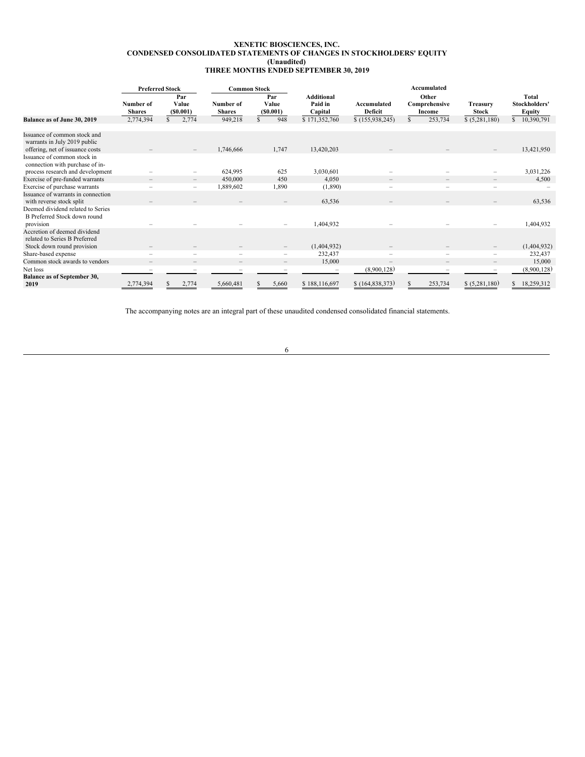# **XENETIC BIOSCIENCES, INC. CONDENSED CONSOLIDATED STATEMENTS OF CHANGES IN STOCKHOLDERS' EQUITY (Unaudited) THREE MONTHS ENDED SEPTEMBER 30, 2019**

|                                                                                                 | <b>Preferred Stock</b>                |                                 | <b>Common Stock</b>                   |                          |                                  |                        | Accumulated                      |                   |                                 |                                         |
|-------------------------------------------------------------------------------------------------|---------------------------------------|---------------------------------|---------------------------------------|--------------------------|----------------------------------|------------------------|----------------------------------|-------------------|---------------------------------|-----------------------------------------|
|                                                                                                 | Number of<br><b>Shares</b>            | Par<br>Value<br>(S0.001)        | Number of<br><b>Shares</b>            | Par<br>Value<br>(S0.001) | Additional<br>Paid in<br>Capital | Accumulated<br>Deficit | Other<br>Comprehensive<br>Income |                   | <b>Treasury</b><br><b>Stock</b> | Total<br>Stockholders'<br><b>Equity</b> |
| Balance as of June 30, 2019                                                                     | 2,774,394                             | 2,774<br>S.                     | 949,218                               | 948                      | \$171,352,760                    | \$(155,938,245)        | S.                               | 253,734           | \$ (5,281,180)                  | 10,390,791<br>$\mathbb{S}$              |
| Issuance of common stock and<br>warrants in July 2019 public<br>offering, net of issuance costs |                                       |                                 | 1,746,666                             | 1,747                    | 13,420,203                       |                        |                                  |                   |                                 | 13,421,950                              |
| Issuance of common stock in<br>connection with purchase of in-                                  |                                       |                                 |                                       |                          |                                  |                        |                                  |                   |                                 |                                         |
| process research and development                                                                |                                       | $\qquad \qquad$                 | 624.995                               | 625                      | 3,030,601                        |                        |                                  |                   | $\qquad \qquad -$               | 3,031,226                               |
| Exercise of pre-funded warrants                                                                 |                                       | $\overline{\phantom{m}}$        | 450,000                               | 450                      | 4,050                            | $\qquad \qquad -$      |                                  |                   |                                 | 4,500                                   |
| Exercise of purchase warrants                                                                   | $\hspace{1.0cm} \rule{1.5cm}{0.15cm}$ | $\overline{\phantom{a}}$        | 1,889,602                             | 1,890                    | (1,890)                          | $\qquad \qquad$        |                                  | $\qquad \qquad -$ | $\qquad \qquad -$               |                                         |
| Issuance of warrants in connection<br>with reverse stock split                                  |                                       |                                 |                                       |                          | 63,536                           |                        |                                  |                   |                                 | 63,536                                  |
| Deemed dividend related to Series<br>B Preferred Stock down round<br>provision                  |                                       |                                 |                                       |                          | 1,404,932                        |                        |                                  |                   | -                               | 1,404,932                               |
| Accretion of deemed dividend<br>related to Series B Preferred                                   |                                       |                                 |                                       |                          |                                  |                        |                                  |                   |                                 |                                         |
| Stock down round provision                                                                      |                                       |                                 |                                       |                          | (1,404,932)                      |                        |                                  |                   | $\qquad \qquad -$               | (1,404,932)                             |
| Share-based expense                                                                             |                                       | $\overline{\phantom{a}}$        | $\hspace{1.0cm} \rule{1.5cm}{0.15cm}$ | $\overline{\phantom{0}}$ | 232,437                          |                        |                                  |                   | -                               | 232,437                                 |
| Common stock awards to vendors                                                                  |                                       | $\hspace{0.1mm}-\hspace{0.1mm}$ |                                       |                          | 15,000                           |                        |                                  |                   |                                 | 15,000                                  |
| Net loss                                                                                        |                                       |                                 |                                       |                          | -                                | (8,900,128)            |                                  |                   |                                 | (8,900,128)                             |
| Balance as of September 30,<br>2019                                                             | 2,774,394                             | 2,774                           | 5,660,481                             | 5,660                    | \$188,116,697                    | \$(164,838,373)        | S                                | 253,734           | \$ (5,281,180)                  | 18,259,312<br>S.                        |

The accompanying notes are an integral part of these unaudited condensed consolidated financial statements.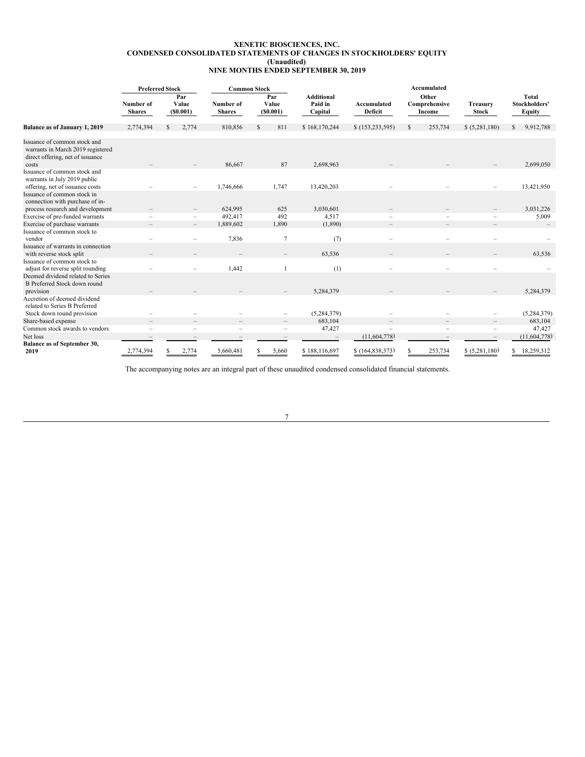# **XENETIC BIOSCIENCES, INC. CONDENSED CONSOLIDATED STATEMENTS OF CHANGES IN STOCKHOLDERS' EQUITY (Unaudited) NINE MONTHS ENDED SEPTEMBER 30, 2019**

|                                                                                                                | <b>Preferred Stock</b>     |                          |                                       | <b>Common Stock</b>      |                                  |                        | Accumulated |                                  |                                       |                                         |
|----------------------------------------------------------------------------------------------------------------|----------------------------|--------------------------|---------------------------------------|--------------------------|----------------------------------|------------------------|-------------|----------------------------------|---------------------------------------|-----------------------------------------|
|                                                                                                                | Number of<br><b>Shares</b> | Par<br>Value<br>(S0.001) | Number of<br><b>Shares</b>            | Par<br>Value<br>(S0.001) | Additional<br>Paid in<br>Capital | Accumulated<br>Deficit |             | Other<br>Comprehensive<br>Income | <b>Treasury</b><br><b>Stock</b>       | Total<br>Stockholders'<br><b>Equity</b> |
| Balance as of January 1, 2019                                                                                  | 2,774,394                  | S                        | 2,774<br>810,856                      | 811<br>\$.               | \$168,170,244                    | \$(153, 233, 595)      | \$          | 253,734                          | \$(5,281,180)                         | 9,912,788<br>\$                         |
| Issuance of common stock and<br>warrants in March 2019 registered<br>direct offering, net of issuance<br>costs |                            |                          | 86,667                                | 87                       | 2,698,963                        |                        |             |                                  |                                       | 2,699,050                               |
| Issuance of common stock and<br>warrants in July 2019 public                                                   |                            |                          |                                       |                          |                                  |                        |             |                                  |                                       |                                         |
| offering, net of issuance costs<br>Issuance of common stock in<br>connection with purchase of in-              |                            |                          | 1,746,666                             | 1,747                    | 13,420,203                       |                        |             |                                  |                                       | 13,421,950                              |
| process research and development                                                                               |                            |                          | 624,995                               | 625                      | 3,030,601                        |                        |             |                                  |                                       | 3,031,226                               |
| Exercise of pre-funded warrants                                                                                |                            |                          | 492,417                               | 492                      | 4,517                            |                        |             |                                  |                                       | 5,009                                   |
| Exercise of purchase warrants                                                                                  |                            |                          | 1,889,602<br>$\overline{\phantom{0}}$ | 1,890                    | (1,890)                          |                        |             |                                  |                                       |                                         |
| Issuance of common stock to<br>vendor                                                                          |                            |                          | 7,836                                 | $\tau$                   | (7)                              |                        |             |                                  |                                       |                                         |
| Issuance of warrants in connection<br>with reverse stock split                                                 |                            |                          |                                       |                          | 63,536                           |                        |             |                                  |                                       | 63,536                                  |
| Issuance of common stock to                                                                                    |                            |                          |                                       |                          |                                  |                        |             |                                  |                                       |                                         |
| adjust for reverse split rounding<br>Deemed dividend related to Series<br><b>B</b> Preferred Stock down round  |                            |                          | 1,442                                 |                          | (1)                              |                        |             |                                  |                                       |                                         |
| provision<br>Accretion of deemed dividend                                                                      |                            |                          |                                       |                          | 5,284,379                        |                        |             |                                  |                                       | 5,284,379                               |
| related to Series B Preferred                                                                                  |                            |                          |                                       |                          |                                  |                        |             |                                  |                                       |                                         |
| Stock down round provision                                                                                     |                            |                          |                                       |                          | (5,284,379)                      |                        |             |                                  | $\overline{\phantom{m}}$              | (5,284,379)                             |
| Share-based expense<br>Common stock awards to vendors                                                          | $\overline{\phantom{0}}$   |                          | $\equiv$<br>$\overline{\phantom{a}}$  | $\overline{\phantom{m}}$ | 683,104                          |                        |             | $\overline{\phantom{a}}$         | $\overline{\phantom{a}}$              | 683,104                                 |
|                                                                                                                |                            |                          |                                       |                          | 47,427                           |                        |             |                                  |                                       | 47,427                                  |
| Net loss                                                                                                       |                            |                          | $\overline{\phantom{a}}$              |                          |                                  | (11,604,778)           |             |                                  | $\hspace{1.0cm} \rule{1.5cm}{0.15cm}$ | (11,604,778)                            |
| Balance as of September 30,<br>2019                                                                            | 2,774,394                  |                          | 5,660,481<br>2,774                    | 5,660                    | \$188,116,697                    | \$(164,838,373)        |             | 253,734                          | \$(5,281,180)                         | 18,259,312<br>\$                        |

The accompanying notes are an integral part of these unaudited condensed consolidated financial statements.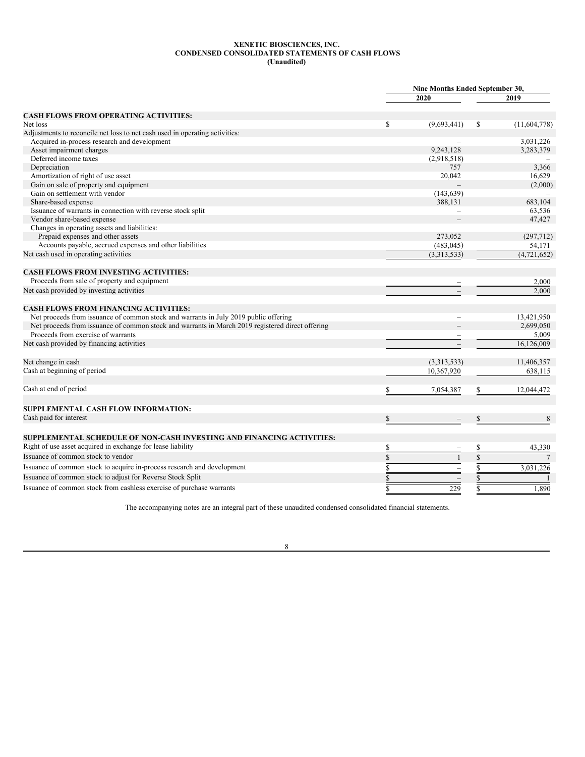## <span id="page-7-0"></span>**XENETIC BIOSCIENCES, INC. CONDENSED CONSOLIDATED STATEMENTS OF CASH FLOWS (Unaudited)**

| 2020<br>2019<br><b>CASH FLOWS FROM OPERATING ACTIVITIES:</b><br>Net loss<br>\$<br>(9,693,441)<br>\$<br>(11,604,778)<br>Adjustments to reconcile net loss to net cash used in operating activities:<br>Acquired in-process research and development<br>3,031,226<br>Asset impairment charges<br>9,243,128<br>3,283,379<br>Deferred income taxes<br>(2,918,518)<br>Depreciation<br>3,366<br>757<br>Amortization of right of use asset<br>20,042<br>16,629<br>Gain on sale of property and equipment<br>(2,000)<br>Gain on settlement with vendor<br>(143, 639)<br>388,131<br>683,104<br>Share-based expense<br>Issuance of warrants in connection with reverse stock split<br>63,536<br>$\overline{\phantom{0}}$<br>Vendor share-based expense<br>47,427<br>Changes in operating assets and liabilities:<br>Prepaid expenses and other assets<br>273,052<br>(297, 712)<br>Accounts payable, accrued expenses and other liabilities<br>(483, 045)<br>54,171<br>Net cash used in operating activities<br>(3,313,533)<br>(4, 721, 652)<br>Proceeds from sale of property and equipment<br>2,000<br>2.000<br>Net proceeds from issuance of common stock and warrants in July 2019 public offering<br>13,421,950<br>Net proceeds from issuance of common stock and warrants in March 2019 registered direct offering<br>2,699,050<br>Proceeds from exercise of warrants<br>5,009<br>16,126,009<br>Net change in cash<br>(3,313,533)<br>11,406,357<br>10,367,920<br>638,115<br>\$<br>7,054,387<br>\$<br>12,044,472<br>SUPPLEMENTAL CASH FLOW INFORMATION:<br>Cash paid for interest<br>\$<br>\$<br>8<br>Right of use asset acquired in exchange for lease liability<br>\$<br>$\frac{1}{2}$<br>43,330<br>Issuance of common stock to vendor<br>\$<br>7<br>1<br>Issuance of common stock to acquire in-process research and development<br>3.031.226<br>S<br>\$<br>\$<br>-1<br>\$<br>229<br>1,890<br>S |                                                                       | Nine Months Ended September 30, |  |  |  |
|----------------------------------------------------------------------------------------------------------------------------------------------------------------------------------------------------------------------------------------------------------------------------------------------------------------------------------------------------------------------------------------------------------------------------------------------------------------------------------------------------------------------------------------------------------------------------------------------------------------------------------------------------------------------------------------------------------------------------------------------------------------------------------------------------------------------------------------------------------------------------------------------------------------------------------------------------------------------------------------------------------------------------------------------------------------------------------------------------------------------------------------------------------------------------------------------------------------------------------------------------------------------------------------------------------------------------------------------------------------------------------------------------------------------------------------------------------------------------------------------------------------------------------------------------------------------------------------------------------------------------------------------------------------------------------------------------------------------------------------------------------------------------------------------------------------------------------------------------------------------------------------------|-----------------------------------------------------------------------|---------------------------------|--|--|--|
|                                                                                                                                                                                                                                                                                                                                                                                                                                                                                                                                                                                                                                                                                                                                                                                                                                                                                                                                                                                                                                                                                                                                                                                                                                                                                                                                                                                                                                                                                                                                                                                                                                                                                                                                                                                                                                                                                              |                                                                       |                                 |  |  |  |
|                                                                                                                                                                                                                                                                                                                                                                                                                                                                                                                                                                                                                                                                                                                                                                                                                                                                                                                                                                                                                                                                                                                                                                                                                                                                                                                                                                                                                                                                                                                                                                                                                                                                                                                                                                                                                                                                                              |                                                                       |                                 |  |  |  |
|                                                                                                                                                                                                                                                                                                                                                                                                                                                                                                                                                                                                                                                                                                                                                                                                                                                                                                                                                                                                                                                                                                                                                                                                                                                                                                                                                                                                                                                                                                                                                                                                                                                                                                                                                                                                                                                                                              |                                                                       |                                 |  |  |  |
|                                                                                                                                                                                                                                                                                                                                                                                                                                                                                                                                                                                                                                                                                                                                                                                                                                                                                                                                                                                                                                                                                                                                                                                                                                                                                                                                                                                                                                                                                                                                                                                                                                                                                                                                                                                                                                                                                              |                                                                       |                                 |  |  |  |
|                                                                                                                                                                                                                                                                                                                                                                                                                                                                                                                                                                                                                                                                                                                                                                                                                                                                                                                                                                                                                                                                                                                                                                                                                                                                                                                                                                                                                                                                                                                                                                                                                                                                                                                                                                                                                                                                                              |                                                                       |                                 |  |  |  |
|                                                                                                                                                                                                                                                                                                                                                                                                                                                                                                                                                                                                                                                                                                                                                                                                                                                                                                                                                                                                                                                                                                                                                                                                                                                                                                                                                                                                                                                                                                                                                                                                                                                                                                                                                                                                                                                                                              |                                                                       |                                 |  |  |  |
|                                                                                                                                                                                                                                                                                                                                                                                                                                                                                                                                                                                                                                                                                                                                                                                                                                                                                                                                                                                                                                                                                                                                                                                                                                                                                                                                                                                                                                                                                                                                                                                                                                                                                                                                                                                                                                                                                              |                                                                       |                                 |  |  |  |
|                                                                                                                                                                                                                                                                                                                                                                                                                                                                                                                                                                                                                                                                                                                                                                                                                                                                                                                                                                                                                                                                                                                                                                                                                                                                                                                                                                                                                                                                                                                                                                                                                                                                                                                                                                                                                                                                                              |                                                                       |                                 |  |  |  |
|                                                                                                                                                                                                                                                                                                                                                                                                                                                                                                                                                                                                                                                                                                                                                                                                                                                                                                                                                                                                                                                                                                                                                                                                                                                                                                                                                                                                                                                                                                                                                                                                                                                                                                                                                                                                                                                                                              |                                                                       |                                 |  |  |  |
|                                                                                                                                                                                                                                                                                                                                                                                                                                                                                                                                                                                                                                                                                                                                                                                                                                                                                                                                                                                                                                                                                                                                                                                                                                                                                                                                                                                                                                                                                                                                                                                                                                                                                                                                                                                                                                                                                              |                                                                       |                                 |  |  |  |
|                                                                                                                                                                                                                                                                                                                                                                                                                                                                                                                                                                                                                                                                                                                                                                                                                                                                                                                                                                                                                                                                                                                                                                                                                                                                                                                                                                                                                                                                                                                                                                                                                                                                                                                                                                                                                                                                                              |                                                                       |                                 |  |  |  |
|                                                                                                                                                                                                                                                                                                                                                                                                                                                                                                                                                                                                                                                                                                                                                                                                                                                                                                                                                                                                                                                                                                                                                                                                                                                                                                                                                                                                                                                                                                                                                                                                                                                                                                                                                                                                                                                                                              |                                                                       |                                 |  |  |  |
|                                                                                                                                                                                                                                                                                                                                                                                                                                                                                                                                                                                                                                                                                                                                                                                                                                                                                                                                                                                                                                                                                                                                                                                                                                                                                                                                                                                                                                                                                                                                                                                                                                                                                                                                                                                                                                                                                              |                                                                       |                                 |  |  |  |
|                                                                                                                                                                                                                                                                                                                                                                                                                                                                                                                                                                                                                                                                                                                                                                                                                                                                                                                                                                                                                                                                                                                                                                                                                                                                                                                                                                                                                                                                                                                                                                                                                                                                                                                                                                                                                                                                                              |                                                                       |                                 |  |  |  |
|                                                                                                                                                                                                                                                                                                                                                                                                                                                                                                                                                                                                                                                                                                                                                                                                                                                                                                                                                                                                                                                                                                                                                                                                                                                                                                                                                                                                                                                                                                                                                                                                                                                                                                                                                                                                                                                                                              |                                                                       |                                 |  |  |  |
|                                                                                                                                                                                                                                                                                                                                                                                                                                                                                                                                                                                                                                                                                                                                                                                                                                                                                                                                                                                                                                                                                                                                                                                                                                                                                                                                                                                                                                                                                                                                                                                                                                                                                                                                                                                                                                                                                              |                                                                       |                                 |  |  |  |
|                                                                                                                                                                                                                                                                                                                                                                                                                                                                                                                                                                                                                                                                                                                                                                                                                                                                                                                                                                                                                                                                                                                                                                                                                                                                                                                                                                                                                                                                                                                                                                                                                                                                                                                                                                                                                                                                                              |                                                                       |                                 |  |  |  |
|                                                                                                                                                                                                                                                                                                                                                                                                                                                                                                                                                                                                                                                                                                                                                                                                                                                                                                                                                                                                                                                                                                                                                                                                                                                                                                                                                                                                                                                                                                                                                                                                                                                                                                                                                                                                                                                                                              |                                                                       |                                 |  |  |  |
|                                                                                                                                                                                                                                                                                                                                                                                                                                                                                                                                                                                                                                                                                                                                                                                                                                                                                                                                                                                                                                                                                                                                                                                                                                                                                                                                                                                                                                                                                                                                                                                                                                                                                                                                                                                                                                                                                              | <b>CASH FLOWS FROM INVESTING ACTIVITIES:</b>                          |                                 |  |  |  |
|                                                                                                                                                                                                                                                                                                                                                                                                                                                                                                                                                                                                                                                                                                                                                                                                                                                                                                                                                                                                                                                                                                                                                                                                                                                                                                                                                                                                                                                                                                                                                                                                                                                                                                                                                                                                                                                                                              |                                                                       |                                 |  |  |  |
|                                                                                                                                                                                                                                                                                                                                                                                                                                                                                                                                                                                                                                                                                                                                                                                                                                                                                                                                                                                                                                                                                                                                                                                                                                                                                                                                                                                                                                                                                                                                                                                                                                                                                                                                                                                                                                                                                              | Net cash provided by investing activities                             |                                 |  |  |  |
|                                                                                                                                                                                                                                                                                                                                                                                                                                                                                                                                                                                                                                                                                                                                                                                                                                                                                                                                                                                                                                                                                                                                                                                                                                                                                                                                                                                                                                                                                                                                                                                                                                                                                                                                                                                                                                                                                              | <b>CASH FLOWS FROM FINANCING ACTIVITIES:</b>                          |                                 |  |  |  |
|                                                                                                                                                                                                                                                                                                                                                                                                                                                                                                                                                                                                                                                                                                                                                                                                                                                                                                                                                                                                                                                                                                                                                                                                                                                                                                                                                                                                                                                                                                                                                                                                                                                                                                                                                                                                                                                                                              |                                                                       |                                 |  |  |  |
|                                                                                                                                                                                                                                                                                                                                                                                                                                                                                                                                                                                                                                                                                                                                                                                                                                                                                                                                                                                                                                                                                                                                                                                                                                                                                                                                                                                                                                                                                                                                                                                                                                                                                                                                                                                                                                                                                              |                                                                       |                                 |  |  |  |
|                                                                                                                                                                                                                                                                                                                                                                                                                                                                                                                                                                                                                                                                                                                                                                                                                                                                                                                                                                                                                                                                                                                                                                                                                                                                                                                                                                                                                                                                                                                                                                                                                                                                                                                                                                                                                                                                                              |                                                                       |                                 |  |  |  |
|                                                                                                                                                                                                                                                                                                                                                                                                                                                                                                                                                                                                                                                                                                                                                                                                                                                                                                                                                                                                                                                                                                                                                                                                                                                                                                                                                                                                                                                                                                                                                                                                                                                                                                                                                                                                                                                                                              | Net cash provided by financing activities                             |                                 |  |  |  |
|                                                                                                                                                                                                                                                                                                                                                                                                                                                                                                                                                                                                                                                                                                                                                                                                                                                                                                                                                                                                                                                                                                                                                                                                                                                                                                                                                                                                                                                                                                                                                                                                                                                                                                                                                                                                                                                                                              |                                                                       |                                 |  |  |  |
|                                                                                                                                                                                                                                                                                                                                                                                                                                                                                                                                                                                                                                                                                                                                                                                                                                                                                                                                                                                                                                                                                                                                                                                                                                                                                                                                                                                                                                                                                                                                                                                                                                                                                                                                                                                                                                                                                              | Cash at beginning of period                                           |                                 |  |  |  |
|                                                                                                                                                                                                                                                                                                                                                                                                                                                                                                                                                                                                                                                                                                                                                                                                                                                                                                                                                                                                                                                                                                                                                                                                                                                                                                                                                                                                                                                                                                                                                                                                                                                                                                                                                                                                                                                                                              | Cash at end of period                                                 |                                 |  |  |  |
|                                                                                                                                                                                                                                                                                                                                                                                                                                                                                                                                                                                                                                                                                                                                                                                                                                                                                                                                                                                                                                                                                                                                                                                                                                                                                                                                                                                                                                                                                                                                                                                                                                                                                                                                                                                                                                                                                              |                                                                       |                                 |  |  |  |
|                                                                                                                                                                                                                                                                                                                                                                                                                                                                                                                                                                                                                                                                                                                                                                                                                                                                                                                                                                                                                                                                                                                                                                                                                                                                                                                                                                                                                                                                                                                                                                                                                                                                                                                                                                                                                                                                                              |                                                                       |                                 |  |  |  |
|                                                                                                                                                                                                                                                                                                                                                                                                                                                                                                                                                                                                                                                                                                                                                                                                                                                                                                                                                                                                                                                                                                                                                                                                                                                                                                                                                                                                                                                                                                                                                                                                                                                                                                                                                                                                                                                                                              |                                                                       |                                 |  |  |  |
|                                                                                                                                                                                                                                                                                                                                                                                                                                                                                                                                                                                                                                                                                                                                                                                                                                                                                                                                                                                                                                                                                                                                                                                                                                                                                                                                                                                                                                                                                                                                                                                                                                                                                                                                                                                                                                                                                              | SUPPLEMENTAL SCHEDULE OF NON-CASH INVESTING AND FINANCING ACTIVITIES: |                                 |  |  |  |
|                                                                                                                                                                                                                                                                                                                                                                                                                                                                                                                                                                                                                                                                                                                                                                                                                                                                                                                                                                                                                                                                                                                                                                                                                                                                                                                                                                                                                                                                                                                                                                                                                                                                                                                                                                                                                                                                                              |                                                                       |                                 |  |  |  |
|                                                                                                                                                                                                                                                                                                                                                                                                                                                                                                                                                                                                                                                                                                                                                                                                                                                                                                                                                                                                                                                                                                                                                                                                                                                                                                                                                                                                                                                                                                                                                                                                                                                                                                                                                                                                                                                                                              |                                                                       |                                 |  |  |  |
|                                                                                                                                                                                                                                                                                                                                                                                                                                                                                                                                                                                                                                                                                                                                                                                                                                                                                                                                                                                                                                                                                                                                                                                                                                                                                                                                                                                                                                                                                                                                                                                                                                                                                                                                                                                                                                                                                              |                                                                       |                                 |  |  |  |
|                                                                                                                                                                                                                                                                                                                                                                                                                                                                                                                                                                                                                                                                                                                                                                                                                                                                                                                                                                                                                                                                                                                                                                                                                                                                                                                                                                                                                                                                                                                                                                                                                                                                                                                                                                                                                                                                                              | Issuance of common stock to adjust for Reverse Stock Split            |                                 |  |  |  |
|                                                                                                                                                                                                                                                                                                                                                                                                                                                                                                                                                                                                                                                                                                                                                                                                                                                                                                                                                                                                                                                                                                                                                                                                                                                                                                                                                                                                                                                                                                                                                                                                                                                                                                                                                                                                                                                                                              | Issuance of common stock from cashless exercise of purchase warrants  |                                 |  |  |  |

The accompanying notes are an integral part of these unaudited condensed consolidated financial statements.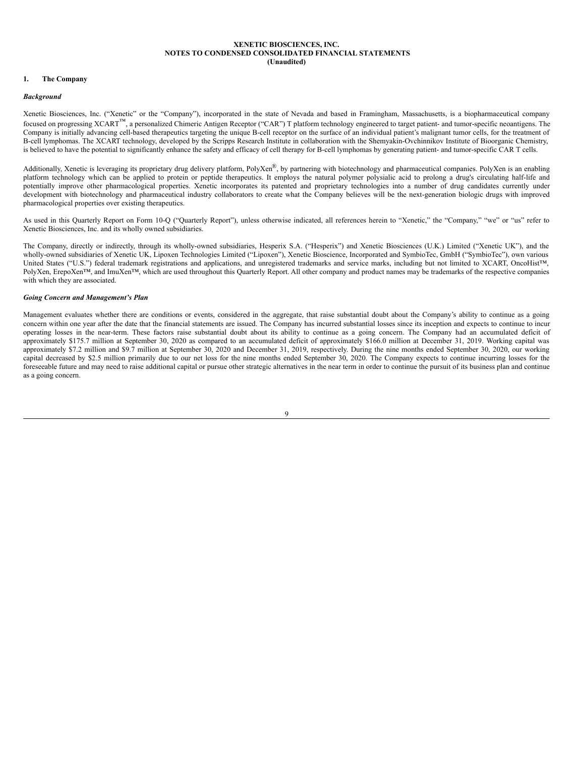## <span id="page-8-0"></span>**XENETIC BIOSCIENCES, INC. NOTES TO CONDENSED CONSOLIDATED FINANCIAL STATEMENTS (Unaudited)**

# **1. The Company**

## *Background*

Xenetic Biosciences, Inc. ("Xenetic" or the "Company"), incorporated in the state of Nevada and based in Framingham, Massachusetts, is a biopharmaceutical company focused on progressing XCART™, a personalized Chimeric Antigen Receptor ("CAR") T platform technology engineered to target patient- and tumor-specific neoantigens. The Company is initially advancing cell-based therapeutics targeting the unique B-cell receptor on the surface of an individual patient's malignant tumor cells, for the treatment of B-cell lymphomas. The XCART technology, developed by the Scripps Research Institute in collaboration with the Shemyakin-Ovchinnikov Institute of Bioorganic Chemistry, is believed to have the potential to significantly enhance the safety and efficacy of cell therapy for B-cell lymphomas by generating patient- and tumor-specific CAR T cells.

Additionally, Xenetic is leveraging its proprietary drug delivery platform, PolyXen®, by partnering with biotechnology and pharmaceutical companies. PolyXen is an enabling platform technology which can be applied to protein or peptide therapeutics. It employs the natural polymer polysialic acid to prolong a drug's circulating half-life and potentially improve other pharmacological properties. Xenetic incorporates its patented and proprietary technologies into a number of drug candidates currently under development with biotechnology and pharmaceutical industry collaborators to create what the Company believes will be the next-generation biologic drugs with improved pharmacological properties over existing therapeutics.

As used in this Quarterly Report on Form 10-Q ("Quarterly Report"), unless otherwise indicated, all references herein to "Xenetic," the "Company," "we" or "us" refer to Xenetic Biosciences, Inc. and its wholly owned subsidiaries.

The Company, directly or indirectly, through its wholly-owned subsidiaries, Hesperix S.A. ("Hesperix") and Xenetic Biosciences (U.K.) Limited ("Xenetic UK"), and the wholly-owned subsidiaries of Xenetic UK, Lipoxen Technologies Limited ("Lipoxen"), Xenetic Bioscience, Incorporated and SymbioTec, GmbH ("SymbioTec"), own various United States ("U.S.") federal trademark registrations and applications, and unregistered trademarks and service marks, including but not limited to XCART, OncoHist™, PolyXen, ErepoXen™, and ImuXen™, which are used throughout this Quarterly Report. All other company and product names may be trademarks of the respective companies with which they are associated.

# *Going Concern and Management's Plan*

Management evaluates whether there are conditions or events, considered in the aggregate, that raise substantial doubt about the Company's ability to continue as a going concern within one year after the date that the financial statements are issued. The Company has incurred substantial losses since its inception and expects to continue to incur operating losses in the near-term. These factors raise substantial doubt about its ability to continue as a going concern. The Company had an accumulated deficit of approximately \$175.7 million at September 30, 2020 as compared to an accumulated deficit of approximately \$166.0 million at December 31, 2019. Working capital was approximately \$7.2 million and \$9.7 million at September 30, 2020 and December 31, 2019, respectively. During the nine months ended September 30, 2020, our working capital decreased by \$2.5 million primarily due to our net loss for the nine months ended September 30, 2020. The Company expects to continue incurring losses for the foreseeable future and may need to raise additional capital or pursue other strategic alternatives in the near term in order to continue the pursuit of its business plan and continue as a going concern.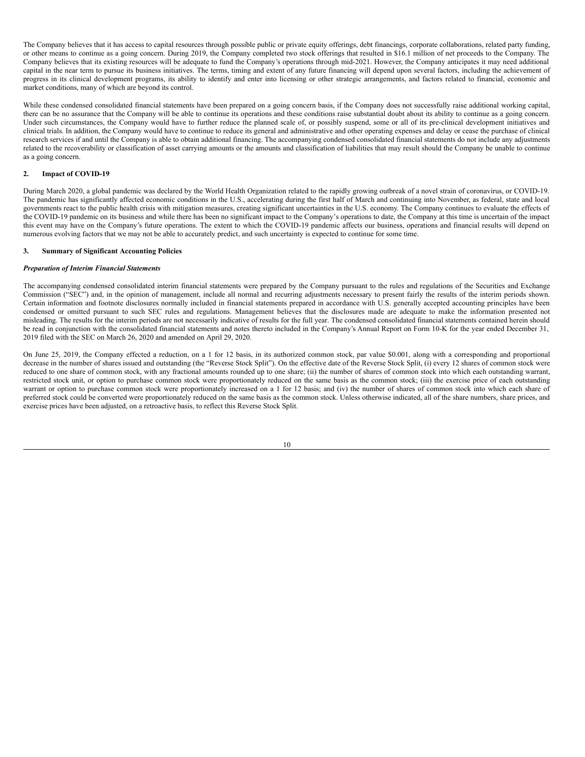The Company believes that it has access to capital resources through possible public or private equity offerings, debt financings, corporate collaborations, related party funding, or other means to continue as a going concern. During 2019, the Company completed two stock offerings that resulted in \$16.1 million of net proceeds to the Company. The Company believes that its existing resources will be adequate to fund the Company's operations through mid-2021. However, the Company anticipates it may need additional capital in the near term to pursue its business initiatives. The terms, timing and extent of any future financing will depend upon several factors, including the achievement of progress in its clinical development programs, its ability to identify and enter into licensing or other strategic arrangements, and factors related to financial, economic and market conditions, many of which are beyond its control.

While these condensed consolidated financial statements have been prepared on a going concern basis, if the Company does not successfully raise additional working capital, there can be no assurance that the Company will be able to continue its operations and these conditions raise substantial doubt about its ability to continue as a going concern. Under such circumstances, the Company would have to further reduce the planned scale of, or possibly suspend, some or all of its pre-clinical development initiatives and clinical trials. In addition, the Company would have to continue to reduce its general and administrative and other operating expenses and delay or cease the purchase of clinical research services if and until the Company is able to obtain additional financing. The accompanying condensed consolidated financial statements do not include any adjustments related to the recoverability or classification of asset carrying amounts or the amounts and classification of liabilities that may result should the Company be unable to continue as a going concern.

# **2. Impact of COVID-19**

During March 2020, a global pandemic was declared by the World Health Organization related to the rapidly growing outbreak of a novel strain of coronavirus, or COVID-19. The pandemic has significantly affected economic conditions in the U.S., accelerating during the first half of March and continuing into November, as federal, state and local governments react to the public health crisis with mitigation measures, creating significant uncertainties in the U.S. economy. The Company continues to evaluate the effects of the COVID-19 pandemic on its business and while there has been no significant impact to the Company's operations to date, the Company at this time is uncertain of the impact this event may have on the Company's future operations. The extent to which the COVID-19 pandemic affects our business, operations and financial results will depend on numerous evolving factors that we may not be able to accurately predict, and such uncertainty is expected to continue for some time.

# **3. Summary of Significant Accounting Policies**

## *Preparation of Interim Financial Statements*

The accompanying condensed consolidated interim financial statements were prepared by the Company pursuant to the rules and regulations of the Securities and Exchange Commission ("SEC") and, in the opinion of management, include all normal and recurring adjustments necessary to present fairly the results of the interim periods shown. Certain information and footnote disclosures normally included in financial statements prepared in accordance with U.S. generally accepted accounting principles have been condensed or omitted pursuant to such SEC rules and regulations. Management believes that the disclosures made are adequate to make the information presented not misleading. The results for the interim periods are not necessarily indicative of results for the full year. The condensed consolidated financial statements contained herein should be read in conjunction with the consolidated financial statements and notes thereto included in the Company's Annual Report on Form 10-K for the year ended December 31, 2019 filed with the SEC on March 26, 2020 and amended on April 29, 2020.

On June 25, 2019, the Company effected a reduction, on a 1 for 12 basis, in its authorized common stock, par value \$0.001, along with a corresponding and proportional decrease in the number of shares issued and outstanding (the "Reverse Stock Split"). On the effective date of the Reverse Stock Split, (i) every 12 shares of common stock were reduced to one share of common stock, with any fractional amounts rounded up to one share; (ii) the number of shares of common stock into which each outstanding warrant, restricted stock unit, or option to purchase common stock were proportionately reduced on the same basis as the common stock; (iii) the exercise price of each outstanding warrant or option to purchase common stock were proportionately increased on a 1 for 12 basis; and (iv) the number of shares of common stock into which each share of preferred stock could be converted were proportionately reduced on the same basis as the common stock. Unless otherwise indicated, all of the share numbers, share prices, and exercise prices have been adjusted, on a retroactive basis, to reflect this Reverse Stock Split.

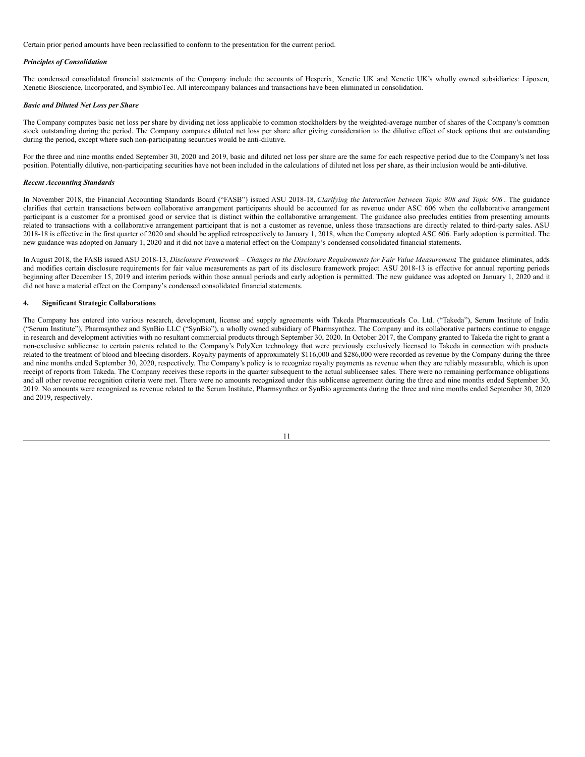Certain prior period amounts have been reclassified to conform to the presentation for the current period.

## *Principles of Consolidation*

The condensed consolidated financial statements of the Company include the accounts of Hesperix, Xenetic UK and Xenetic UK's wholly owned subsidiaries: Lipoxen, Xenetic Bioscience, Incorporated, and SymbioTec. All intercompany balances and transactions have been eliminated in consolidation.

## *Basic and Diluted Net Loss per Share*

The Company computes basic net loss per share by dividing net loss applicable to common stockholders by the weighted-average number of shares of the Company's common stock outstanding during the period. The Company computes diluted net loss per share after giving consideration to the dilutive effect of stock options that are outstanding during the period, except where such non-participating securities would be anti-dilutive.

For the three and nine months ended September 30, 2020 and 2019, basic and diluted net loss per share are the same for each respective period due to the Company's net loss position. Potentially dilutive, non-participating securities have not been included in the calculations of diluted net loss per share, as their inclusion would be anti-dilutive.

## *Recent Accounting Standards*

In November 2018, the Financial Accounting Standards Board ("FASB") issued ASU 2018-18, *Clarifying the Interaction between Topic 808 and Topic 606* . The guidance clarifies that certain transactions between collaborative arrangement participants should be accounted for as revenue under ASC 606 when the collaborative arrangement participant is a customer for a promised good or service that is distinct within the collaborative arrangement. The guidance also precludes entities from presenting amounts related to transactions with a collaborative arrangement participant that is not a customer as revenue, unless those transactions are directly related to third-party sales. ASU 2018-18 is effective in the first quarter of 2020 and should be applied retrospectively to January 1, 2018, when the Company adopted ASC 606. Early adoption is permitted. The new guidance was adopted on January 1, 2020 and it did not have a material effect on the Company's condensed consolidated financial statements.

In August 2018, the FASB issued ASU 2018-13, Disclosure Framework - Changes to the Disclosure Requirements for Fair Value Measurement The guidance eliminates, adds and modifies certain disclosure requirements for fair value measurements as part of its disclosure framework project. ASU 2018-13 is effective for annual reporting periods beginning after December 15, 2019 and interim periods within those annual periods and early adoption is permitted. The new guidance was adopted on January 1, 2020 and it did not have a material effect on the Company's condensed consolidated financial statements.

## **4. Significant Strategic Collaborations**

The Company has entered into various research, development, license and supply agreements with Takeda Pharmaceuticals Co. Ltd. ("Takeda"), Serum Institute of India ("Serum Institute"), Pharmsynthez and SynBio LLC ("SynBio"), a wholly owned subsidiary of Pharmsynthez. The Company and its collaborative partners continue to engage in research and development activities with no resultant commercial products through September 30, 2020. In October 2017, the Company granted to Takeda the right to grant a non-exclusive sublicense to certain patents related to the Company's PolyXen technology that were previously exclusively licensed to Takeda in connection with products related to the treatment of blood and bleeding disorders. Royalty payments of approximately \$116,000 and \$286,000 were recorded as revenue by the Company during the three and nine months ended September 30, 2020, respectively. The Company's policy is to recognize royalty payments as revenue when they are reliably measurable, which is upon receipt of reports from Takeda. The Company receives these reports in the quarter subsequent to the actual sublicensee sales. There were no remaining performance obligations and all other revenue recognition criteria were met. There were no amounts recognized under this sublicense agreement during the three and nine months ended September 30, 2019. No amounts were recognized as revenue related to the Serum Institute, Pharmsynthez or SynBio agreements during the three and nine months ended September 30, 2020 and 2019, respectively.

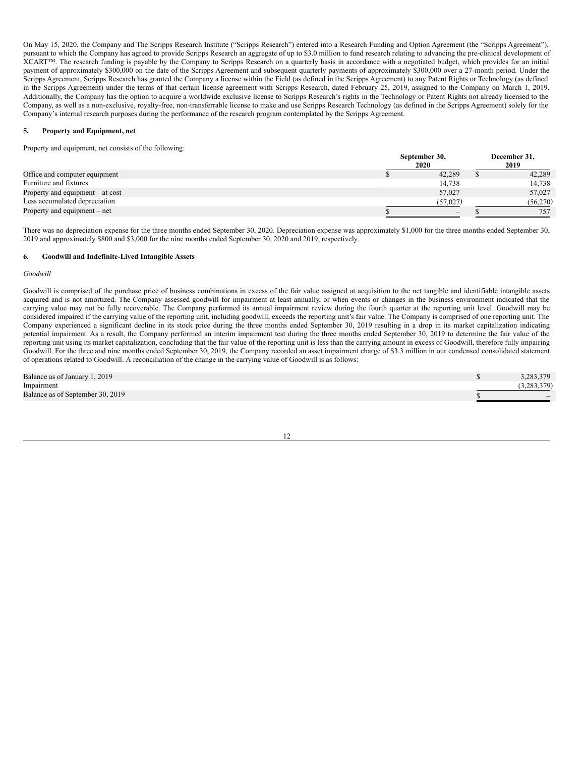On May 15, 2020, the Company and The Scripps Research Institute ("Scripps Research") entered into a Research Funding and Option Agreement (the "Scripps Agreement"), pursuant to which the Company has agreed to provide Scripps Research an aggregate of up to \$3.0 million to fund research relating to advancing the pre-clinical development of XCART™. The research funding is payable by the Company to Scripps Research on a quarterly basis in accordance with a negotiated budget, which provides for an initial payment of approximately \$300,000 on the date of the Scripps Agreement and subsequent quarterly payments of approximately \$300,000 over a 27-month period. Under the Scripps Agreement, Scripps Research has granted the Company a license within the Field (as defined in the Scripps Agreement) to any Patent Rights or Technology (as defined in the Scripps Agreement) under the terms of that certain license agreement with Scripps Research, dated February 25, 2019, assigned to the Company on March 1, 2019. Additionally, the Company has the option to acquire a worldwide exclusive license to Scripps Research's rights in the Technology or Patent Rights not already licensed to the Company, as well as a non-exclusive, royalty-free, non-transferrable license to make and use Scripps Research Technology (as defined in the Scripps Agreement) solely for the Company's internal research purposes during the performance of the research program contemplated by the Scripps Agreement.

# **5. Property and Equipment, net**

Property and equipment, net consists of the following:

|                                    | September 30,<br>2020 |  |          |
|------------------------------------|-----------------------|--|----------|
| Office and computer equipment      | 42.289                |  | 42,289   |
| Furniture and fixtures             | 14.738                |  | 14,738   |
| Property and equipment $-$ at cost | 57,027                |  | 57,027   |
| Less accumulated depreciation      | (57, 027)             |  | (56,270) |
| Property and equipment – net       | $\sim$                |  | 757      |

There was no depreciation expense for the three months ended September 30, 2020. Depreciation expense was approximately \$1,000 for the three months ended September 30, 2019 and approximately \$800 and \$3,000 for the nine months ended September 30, 2020 and 2019, respectively.

# **6. Goodwill and Indefinite-Lived Intangible Assets**

## *Goodwill*

Goodwill is comprised of the purchase price of business combinations in excess of the fair value assigned at acquisition to the net tangible and identifiable intangible assets acquired and is not amortized. The Company assessed goodwill for impairment at least annually, or when events or changes in the business environment indicated that the carrying value may not be fully recoverable. The Company performed its annual impairment review during the fourth quarter at the reporting unit level. Goodwill may be considered impaired if the carrying value of the reporting unit, including goodwill, exceeds the reporting unit's fair value. The Company is comprised of one reporting unit. The Company experienced a significant decline in its stock price during the three months ended September 30, 2019 resulting in a drop in its market capitalization indicating potential impairment. As a result, the Company performed an interim impairment test during the three months ended September 30, 2019 to determine the fair value of the reporting unit using its market capitalization, concluding that the fair value of the reporting unit is less than the carrying amount in excess of Goodwill, therefore fully impairing Goodwill. For the three and nine months ended September 30, 2019, the Company recorded an asset impairment charge of \$3.3 million in our condensed consolidated statement of operations related to Goodwill. A reconciliation of the change in the carrying value of Goodwill is as follows:

| Balance as of January 1, 2019    | 3,283,379                |
|----------------------------------|--------------------------|
| Impairment                       | (3, 283, 379)            |
| Balance as of September 30, 2019 | $\overline{\phantom{a}}$ |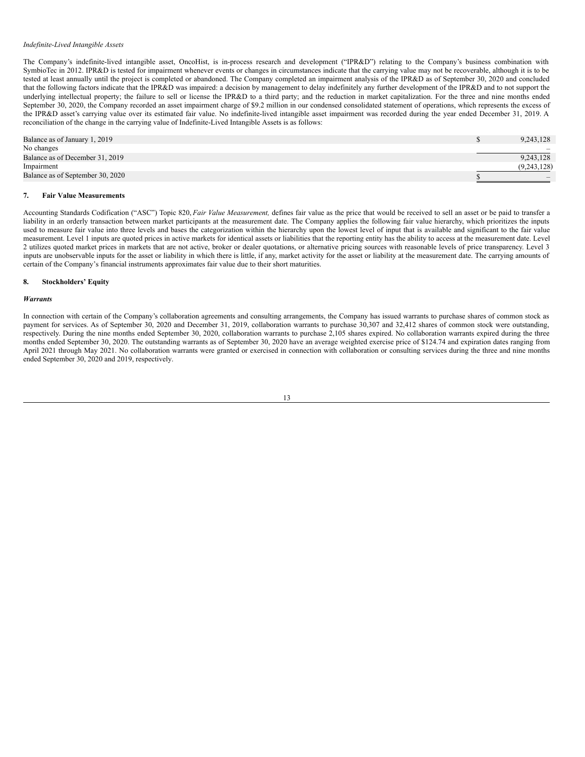## *Indefinite-Lived Intangible Assets*

The Company's indefinite-lived intangible asset, OncoHist, is in-process research and development ("IPR&D") relating to the Company's business combination with SymbioTec in 2012. IPR&D is tested for impairment whenever events or changes in circumstances indicate that the carrying value may not be recoverable, although it is to be tested at least annually until the project is completed or abandoned. The Company completed an impairment analysis of the IPR&D as of September 30, 2020 and concluded that the following factors indicate that the IPR&D was impaired: a decision by management to delay indefinitely any further development of the IPR&D and to not support the underlying intellectual property; the failure to sell or license the IPR&D to a third party; and the reduction in market capitalization. For the three and nine months ended September 30, 2020, the Company recorded an asset impairment charge of \$9.2 million in our condensed consolidated statement of operations, which represents the excess of the IPR&D asset's carrying value over its estimated fair value. No indefinite-lived intangible asset impairment was recorded during the year ended December 31, 2019. A reconciliation of the change in the carrying value of Indefinite-Lived Intangible Assets is as follows:

| Balance as of January 1, 2019    | 9.243.128                |
|----------------------------------|--------------------------|
| No changes                       | $\overline{\phantom{a}}$ |
| Balance as of December 31, 2019  | 9,243,128                |
| Impairment                       | (9.243.128)              |
| Balance as of September 30, 2020 |                          |

## **7. Fair Value Measurements**

Accounting Standards Codification ("ASC") Topic 820, *Fair Value Measurement,* defines fair value as the price that would be received to sell an asset or be paid to transfer a liability in an orderly transaction between market participants at the measurement date. The Company applies the following fair value hierarchy, which prioritizes the inputs used to measure fair value into three levels and bases the categorization within the hierarchy upon the lowest level of input that is available and significant to the fair value measurement. Level 1 inputs are quoted prices in active markets for identical assets or liabilities that the reporting entity has the ability to access at the measurement date. Level 2 utilizes quoted market prices in markets that are not active, broker or dealer quotations, or alternative pricing sources with reasonable levels of price transparency. Level 3 inputs are unobservable inputs for the asset or liability in which there is little, if any, market activity for the asset or liability at the measurement date. The carrying amounts of certain of the Company's financial instruments approximates fair value due to their short maturities.

## **8. Stockholders' Equity**

# *Warrants*

In connection with certain of the Company's collaboration agreements and consulting arrangements, the Company has issued warrants to purchase shares of common stock as payment for services. As of September 30, 2020 and December 31, 2019, collaboration warrants to purchase 30,307 and 32,412 shares of common stock were outstanding, respectively. During the nine months ended September 30, 2020, collaboration warrants to purchase 2,105 shares expired. No collaboration warrants expired during the three months ended September 30, 2020. The outstanding warrants as of September 30, 2020 have an average weighted exercise price of \$124.74 and expiration dates ranging from April 2021 through May 2021. No collaboration warrants were granted or exercised in connection with collaboration or consulting services during the three and nine months ended September 30, 2020 and 2019, respectively.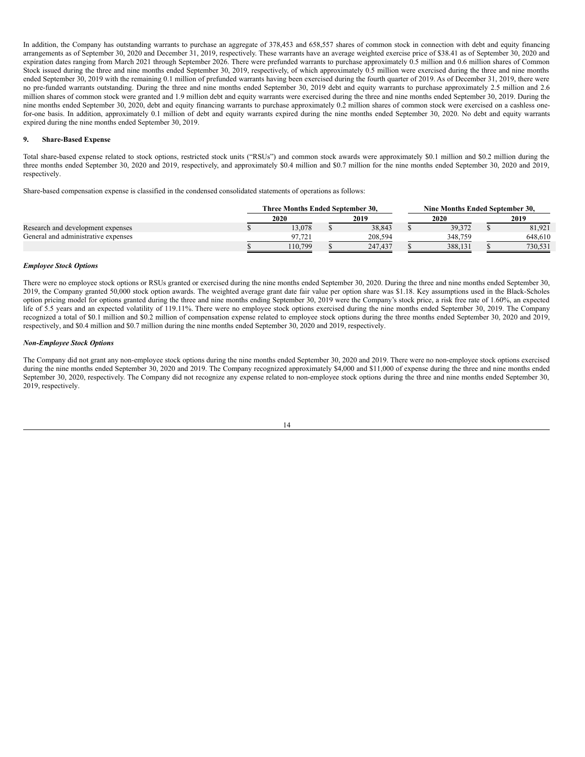In addition, the Company has outstanding warrants to purchase an aggregate of 378,453 and 658,557 shares of common stock in connection with debt and equity financing arrangements as of September 30, 2020 and December 31, 2019, respectively. These warrants have an average weighted exercise price of \$38.41 as of September 30, 2020 and expiration dates ranging from March 2021 through September 2026. There were prefunded warrants to purchase approximately 0.5 million and 0.6 million shares of Common Stock issued during the three and nine months ended September 30, 2019, respectively, of which approximately 0.5 million were exercised during the three and nine months ended September 30, 2019 with the remaining 0.1 million of prefunded warrants having been exercised during the fourth quarter of 2019. As of December 31, 2019, there were no pre-funded warrants outstanding. During the three and nine months ended September 30, 2019 debt and equity warrants to purchase approximately 2.5 million and 2.6 million shares of common stock were granted and 1.9 million debt and equity warrants were exercised during the three and nine months ended September 30, 2019. During the nine months ended September 30, 2020, debt and equity financing warrants to purchase approximately 0.2 million shares of common stock were exercised on a cashless onefor-one basis. In addition, approximately 0.1 million of debt and equity warrants expired during the nine months ended September 30, 2020. No debt and equity warrants expired during the nine months ended September 30, 2019.

# **9. Share-Based Expense**

Total share-based expense related to stock options, restricted stock units ("RSUs") and common stock awards were approximately \$0.1 million and \$0.2 million during the three months ended September 30, 2020 and 2019, respectively, and approximately \$0.4 million and \$0.7 million for the nine months ended September 30, 2020 and 2019, respectively.

Share-based compensation expense is classified in the condensed consolidated statements of operations as follows:

|                                     | Three Months Ended September 30. |         |  | Nine Months Ended September 30. |  |         |  |         |
|-------------------------------------|----------------------------------|---------|--|---------------------------------|--|---------|--|---------|
|                                     |                                  | 2020    |  | 2019                            |  | 2020    |  | 2019    |
| Research and development expenses   |                                  | 13.078  |  | 38.843                          |  | 39.372  |  | 81.921  |
| General and administrative expenses |                                  | 97.721  |  | 208.594                         |  | 348,759 |  | 648.610 |
|                                     |                                  | 110,799 |  | 247,437                         |  | 388.131 |  | 730.531 |

## *Employee Stock Options*

There were no employee stock options or RSUs granted or exercised during the nine months ended September 30, 2020. During the three and nine months ended September 30, 2019, the Company granted 50,000 stock option awards. The weighted average grant date fair value per option share was \$1.18. Key assumptions used in the Black-Scholes option pricing model for options granted during the three and nine months ending September 30, 2019 were the Company's stock price, a risk free rate of 1.60%, an expected life of 5.5 years and an expected volatility of 119.11%. There were no employee stock options exercised during the nine months ended September 30, 2019. The Company recognized a total of \$0.1 million and \$0.2 million of compensation expense related to employee stock options during the three months ended September 30, 2020 and 2019, respectively, and \$0.4 million and \$0.7 million during the nine months ended September 30, 2020 and 2019, respectively.

## *Non-Employee Stock Options*

The Company did not grant any non-employee stock options during the nine months ended September 30, 2020 and 2019. There were no non-employee stock options exercised during the nine months ended September 30, 2020 and 2019. The Company recognized approximately \$4,000 and \$11,000 of expense during the three and nine months ended September 30, 2020, respectively. The Company did not recognize any expense related to non-employee stock options during the three and nine months ended September 30, 2019, respectively.

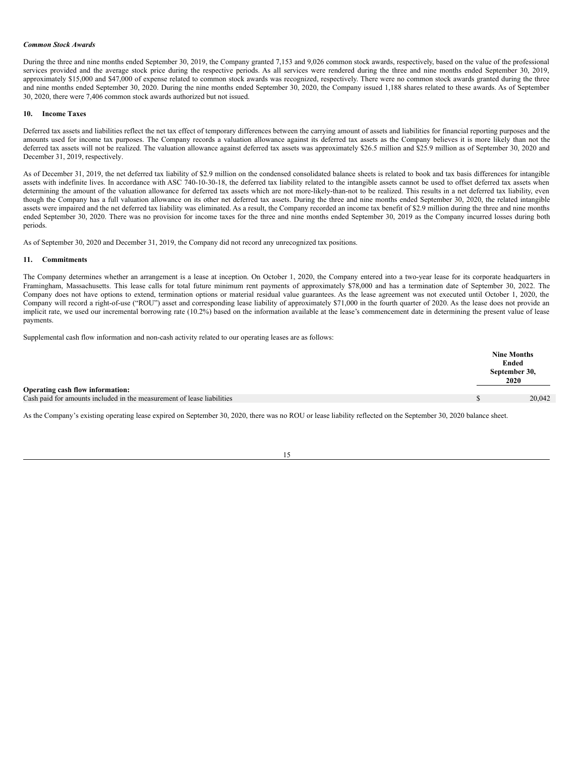## *Common Stock Awards*

During the three and nine months ended September 30, 2019, the Company granted 7,153 and 9,026 common stock awards, respectively, based on the value of the professional services provided and the average stock price during the respective periods. As all services were rendered during the three and nine months ended September 30, 2019, approximately \$15,000 and \$47,000 of expense related to common stock awards was recognized, respectively. There were no common stock awards granted during the three and nine months ended September 30, 2020. During the nine months ended September 30, 2020, the Company issued 1,188 shares related to these awards. As of September 30, 2020, there were 7,406 common stock awards authorized but not issued.

# **10. Income Taxes**

Deferred tax assets and liabilities reflect the net tax effect of temporary differences between the carrying amount of assets and liabilities for financial reporting purposes and the amounts used for income tax purposes. The Company records a valuation allowance against its deferred tax assets as the Company believes it is more likely than not the deferred tax assets will not be realized. The valuation allowance against deferred tax assets was approximately \$26.5 million and \$25.9 million as of September 30, 2020 and December 31, 2019, respectively.

As of December 31, 2019, the net deferred tax liability of \$2.9 million on the condensed consolidated balance sheets is related to book and tax basis differences for intangible assets with indefinite lives. In accordance with ASC 740-10-30-18, the deferred tax liability related to the intangible assets cannot be used to offset deferred tax assets when determining the amount of the valuation allowance for deferred tax assets which are not more-likely-than-not to be realized. This results in a net deferred tax liability, even though the Company has a full valuation allowance on its other net deferred tax assets. During the three and nine months ended September 30, 2020, the related intangible assets were impaired and the net deferred tax liability was eliminated. As a result, the Company recorded an income tax benefit of \$2.9 million during the three and nine months ended September 30, 2020. There was no provision for income taxes for the three and nine months ended September 30, 2019 as the Company incurred losses during both periods.

As of September 30, 2020 and December 31, 2019, the Company did not record any unrecognized tax positions.

## **11. Commitments**

The Company determines whether an arrangement is a lease at inception. On October 1, 2020, the Company entered into a two-year lease for its corporate headquarters in Framingham, Massachusetts. This lease calls for total future minimum rent payments of approximately \$78,000 and has a termination date of September 30, 2022. The Company does not have options to extend, termination options or material residual value guarantees. As the lease agreement was not executed until October 1, 2020, the Company will record a right-of-use ("ROU") asset and corresponding lease liability of approximately \$71,000 in the fourth quarter of 2020. As the lease does not provide an implicit rate, we used our incremental borrowing rate (10.2%) based on the information available at the lease's commencement date in determining the present value of lease payments.

Supplemental cash flow information and non-cash activity related to our operating leases are as follows:

|                                                                        |  | <b>Nine Months</b><br>Ended<br>September 30,<br>2020 |
|------------------------------------------------------------------------|--|------------------------------------------------------|
| Operating cash flow information:                                       |  |                                                      |
| Cash paid for amounts included in the measurement of lease liabilities |  | 20,042                                               |

As the Company's existing operating lease expired on September 30, 2020, there was no ROU or lease liability reflected on the September 30, 2020 balance sheet.

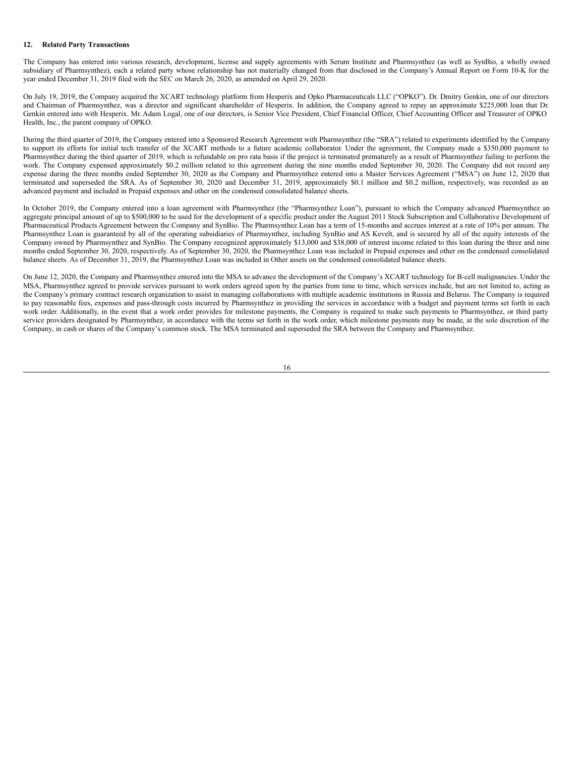## **12. Related Party Transactions**

The Company has entered into various research, development, license and supply agreements with Serum Institute and Pharmsynthez (as well as SynBio, a wholly owned subsidiary of Pharmsynthez), each a related party whose relationship has not materially changed from that disclosed in the Company's Annual Report on Form 10-K for the year ended December 31, 2019 filed with the SEC on March 26, 2020, as amended on April 29, 2020.

On July 19, 2019, the Company acquired the XCART technology platform from Hesperix and Opko Pharmaceuticals LLC ("OPKO"). Dr. Dmitry Genkin, one of our directors and Chairman of Pharmsynthez, was a director and significant shareholder of Hesperix. In addition, the Company agreed to repay an approximate \$225,000 loan that Dr. Genkin entered into with Hesperix. Mr. Adam Logal, one of our directors, is Senior Vice President, Chief Financial Officer, Chief Accounting Officer and Treasurer of OPKO Health, Inc., the parent company of OPKO.

During the third quarter of 2019, the Company entered into a Sponsored Research Agreement with Pharmsynthez (the "SRA") related to experiments identified by the Company to support its efforts for initial tech transfer of the XCART methods to a future academic collaborator. Under the agreement, the Company made a \$350,000 payment to Pharmsynthez during the third quarter of 2019, which is refundable on pro rata basis if the project is terminated prematurely as a result of Pharmsynthez failing to perform the work. The Company expensed approximately \$0.2 million related to this agreement during the nine months ended September 30, 2020. The Company did not record any expense during the three months ended September 30, 2020 as the Company and Pharmsynthez entered into a Master Services Agreement ("MSA") on June 12, 2020 that terminated and superseded the SRA. As of September 30, 2020 and December 31, 2019, approximately \$0.1 million and \$0.2 million, respectively, was recorded as an advanced payment and included in Prepaid expenses and other on the condensed consolidated balance sheets.

In October 2019, the Company entered into a loan agreement with Pharmsynthez (the "Pharmsynthez Loan"), pursuant to which the Company advanced Pharmsynthez an aggregate principal amount of up to \$500,000 to be used for the development of a specific product under the August 2011 Stock Subscription and Collaborative Development of Pharmaceutical Products Agreement between the Company and SynBio. The Pharmsynthez Loan has a term of 15-months and accrues interest at a rate of 10% per annum. The Pharmsynthez Loan is guaranteed by all of the operating subsidiaries of Pharmsynthez, including SynBio and AS Kevelt, and is secured by all of the equity interests of the Company owned by Pharmsynthez and SynBio. The Company recognized approximately \$13,000 and \$38,000 of interest income related to this loan during the three and nine months ended September 30, 2020, respectively. As of September 30, 2020, the Pharmsynthez Loan was included in Prepaid expenses and other on the condensed consolidated balance sheets. As of December 31, 2019, the Pharmsynthez Loan was included in Other assets on the condensed consolidated balance sheets.

On June 12, 2020, the Company and Pharmsynthez entered into the MSA to advance the development of the Company's XCART technology for B-cell malignancies. Under the MSA, Pharmsynthez agreed to provide services pursuant to work orders agreed upon by the parties from time to time, which services include, but are not limited to, acting as the Company's primary contract research organization to assist in managing collaborations with multiple academic institutions in Russia and Belarus. The Company is required to pay reasonable fees, expenses and pass-through costs incurred by Pharmsynthez in providing the services in accordance with a budget and payment terms set forth in each work order. Additionally, in the event that a work order provides for milestone payments, the Company is required to make such payments to Pharmsynthez, or third party service providers designated by Pharmsynthez, in accordance with the terms set forth in the work order, which milestone payments may be made, at the sole discretion of the Company, in cash or shares of the Company's common stock. The MSA terminated and superseded the SRA between the Company and Pharmsynthez.

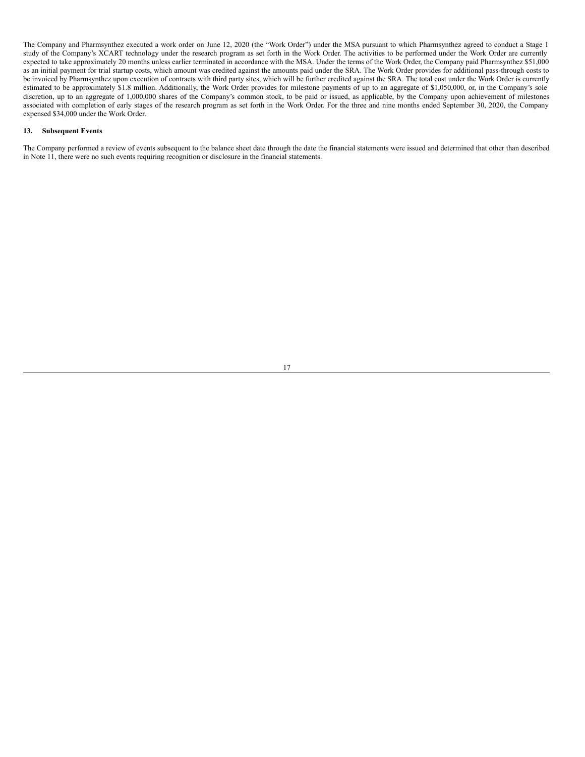The Company and Pharmsynthez executed a work order on June 12, 2020 (the "Work Order") under the MSA pursuant to which Pharmsynthez agreed to conduct a Stage 1 study of the Company's XCART technology under the research program as set forth in the Work Order. The activities to be performed under the Work Order are currently expected to take approximately 20 months unless earlier terminated in accordance with the MSA. Under the terms of the Work Order, the Company paid Pharmsynthez \$51,000 as an initial payment for trial startup costs, which amount was credited against the amounts paid under the SRA. The Work Order provides for additional pass-through costs to be invoiced by Pharmsynthez upon execution of contracts with third party sites, which will be further credited against the SRA. The total cost under the Work Order is currently estimated to be approximately \$1.8 million. Additionally, the Work Order provides for milestone payments of up to an aggregate of \$1,050,000, or, in the Company's sole discretion, up to an aggregate of 1,000,000 shares of the Company's common stock, to be paid or issued, as applicable, by the Company upon achievement of milestones associated with completion of early stages of the research program as set forth in the Work Order. For the three and nine months ended September 30, 2020, the Company expensed \$34,000 under the Work Order.

# **13. Subsequent Events**

The Company performed a review of events subsequent to the balance sheet date through the date the financial statements were issued and determined that other than described in Note 11, there were no such events requiring recognition or disclosure in the financial statements.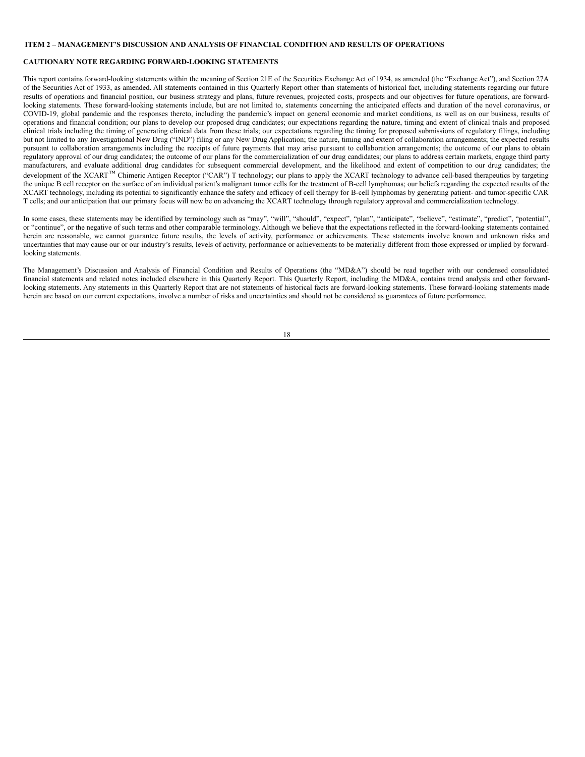# <span id="page-17-0"></span>**ITEM 2 – MANAGEMENT'S DISCUSSION AND ANALYSIS OF FINANCIAL CONDITION AND RESULTS OF OPERATIONS**

# **CAUTIONARY NOTE REGARDING FORWARD-LOOKING STATEMENTS**

This report contains forward-looking statements within the meaning of Section 21E of the Securities Exchange Act of 1934, as amended (the "Exchange Act"), and Section 27A of the Securities Act of 1933, as amended. All statements contained in this Quarterly Report other than statements of historical fact, including statements regarding our future results of operations and financial position, our business strategy and plans, future revenues, projected costs, prospects and our objectives for future operations, are forwardlooking statements. These forward-looking statements include, but are not limited to, statements concerning the anticipated effects and duration of the novel coronavirus, or COVID-19, global pandemic and the responses thereto, including the pandemic's impact on general economic and market conditions, as well as on our business, results of operations and financial condition; our plans to develop our proposed drug candidates; our expectations regarding the nature, timing and extent of clinical trials and proposed clinical trials including the timing of generating clinical data from these trials; our expectations regarding the timing for proposed submissions of regulatory filings, including but not limited to any Investigational New Drug ("IND") filing or any New Drug Application; the nature, timing and extent of collaboration arrangements; the expected results pursuant to collaboration arrangements including the receipts of future payments that may arise pursuant to collaboration arrangements; the outcome of our plans to obtain regulatory approval of our drug candidates; the outcome of our plans for the commercialization of our drug candidates; our plans to address certain markets, engage third party manufacturers, and evaluate additional drug candidates for subsequent commercial development, and the likelihood and extent of competition to our drug candidates; the development of the XCART™ Chimeric Antigen Receptor ("CAR") T technology; our plans to apply the XCART technology to advance cell-based therapeutics by targeting the unique B cell receptor on the surface of an individual patient's malignant tumor cells for the treatment of B-cell lymphomas; our beliefs regarding the expected results of the XCART technology, including its potential to significantly enhance the safety and efficacy of cell therapy for B-cell lymphomas by generating patient- and tumor-specific CAR T cells; and our anticipation that our primary focus will now be on advancing the XCART technology through regulatory approval and commercialization technology.

In some cases, these statements may be identified by terminology such as "may", "will", "should", "expect", "plan", "anticipate", "believe", "estimate", "predict", "potential", or "continue", or the negative of such terms and other comparable terminology. Although we believe that the expectations reflected in the forward-looking statements contained herein are reasonable, we cannot guarantee future results, the levels of activity, performance or achievements. These statements involve known and unknown risks and uncertainties that may cause our or our industry's results, levels of activity, performance or achievements to be materially different from those expressed or implied by forwardlooking statements.

The Management's Discussion and Analysis of Financial Condition and Results of Operations (the "MD&A") should be read together with our condensed consolidated financial statements and related notes included elsewhere in this Quarterly Report. This Quarterly Report, including the MD&A, contains trend analysis and other forwardlooking statements. Any statements in this Quarterly Report that are not statements of historical facts are forward-looking statements. These forward-looking statements made herein are based on our current expectations, involve a number of risks and uncertainties and should not be considered as guarantees of future performance.

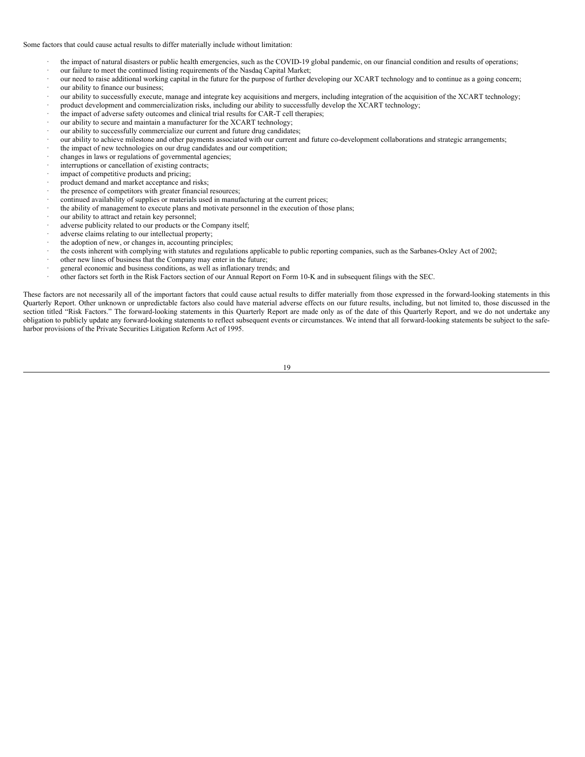Some factors that could cause actual results to differ materially include without limitation:

- the impact of natural disasters or public health emergencies, such as the COVID-19 global pandemic, on our financial condition and results of operations; our failure to meet the continued listing requirements of the Nasdaq Capital Market;
- our need to raise additional working capital in the future for the purpose of further developing our XCART technology and to continue as a going concern; our ability to finance our business;
- · our ability to successfully execute, manage and integrate key acquisitions and mergers, including integration of the acquisition of the XCART technology; product development and commercialization risks, including our ability to successfully develop the XCART technology;
- the impact of adverse safety outcomes and clinical trial results for CAR-T cell therapies;
- our ability to secure and maintain a manufacturer for the XCART technology;
- our ability to successfully commercialize our current and future drug candidates;
- · our ability to achieve milestone and other payments associated with our current and future co-development collaborations and strategic arrangements;
- the impact of new technologies on our drug candidates and our competition;
- changes in laws or regulations of governmental agencies;
- interruptions or cancellation of existing contracts;
- impact of competitive products and pricing;
- product demand and market acceptance and risks;
- the presence of competitors with greater financial resources;
- continued availability of supplies or materials used in manufacturing at the current prices;
- the ability of management to execute plans and motivate personnel in the execution of those plans;
- our ability to attract and retain key personnel;
- adverse publicity related to our products or the Company itself;
- adverse claims relating to our intellectual property;
- the adoption of new, or changes in, accounting principles;
- · the costs inherent with complying with statutes and regulations applicable to public reporting companies, such as the Sarbanes-Oxley Act of 2002;
- other new lines of business that the Company may enter in the future;
- general economic and business conditions, as well as inflationary trends; and
- · other factors set forth in the Risk Factors section of our Annual Report on Form 10-K and in subsequent filings with the SEC.

These factors are not necessarily all of the important factors that could cause actual results to differ materially from those expressed in the forward-looking statements in this Quarterly Report. Other unknown or unpredictable factors also could have material adverse effects on our future results, including, but not limited to, those discussed in the section titled "Risk Factors." The forward-looking statements in this Quarterly Report are made only as of the date of this Quarterly Report, and we do not undertake any obligation to publicly update any forward-looking statements to reflect subsequent events or circumstances. We intend that all forward-looking statements be subject to the safeharbor provisions of the Private Securities Litigation Reform Act of 1995.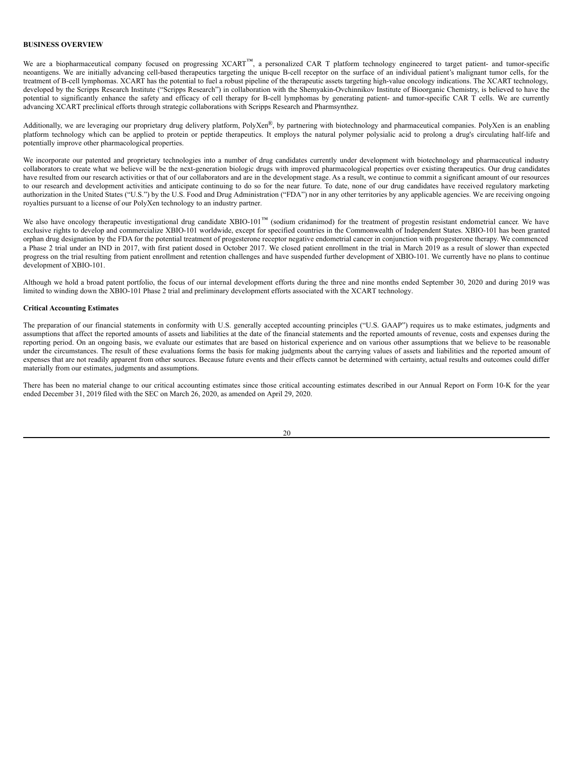## **BUSINESS OVERVIEW**

We are a biopharmaceutical company focused on progressing XCART<sup>™</sup>, a personalized CAR T platform technology engineered to target patient- and tumor-specific neoantigens. We are initially advancing cell-based therapeutics targeting the unique B-cell receptor on the surface of an individual patient's malignant tumor cells, for the treatment of B-cell lymphomas. XCART has the potential to fuel a robust pipeline of the therapeutic assets targeting high-value oncology indications. The XCART technology, developed by the Scripps Research Institute ("Scripps Research") in collaboration with the Shemyakin-Ovchinnikov Institute of Bioorganic Chemistry, is believed to have the potential to significantly enhance the safety and efficacy of cell therapy for B-cell lymphomas by generating patient- and tumor-specific CAR T cells. We are currently advancing XCART preclinical efforts through strategic collaborations with Scripps Research and Pharmsynthez.

Additionally, we are leveraging our proprietary drug delivery platform, PolyXen®, by partnering with biotechnology and pharmaceutical companies. PolyXen is an enabling platform technology which can be applied to protein or peptide therapeutics. It employs the natural polymer polysialic acid to prolong a drug's circulating half-life and potentially improve other pharmacological properties.

We incorporate our patented and proprietary technologies into a number of drug candidates currently under development with biotechnology and pharmaceutical industry collaborators to create what we believe will be the next-generation biologic drugs with improved pharmacological properties over existing therapeutics. Our drug candidates have resulted from our research activities or that of our collaborators and are in the development stage. As a result, we continue to commit a significant amount of our resources to our research and development activities and anticipate continuing to do so for the near future. To date, none of our drug candidates have received regulatory marketing authorization in the United States ("U.S.") by the U.S. Food and Drug Administration ("FDA") nor in any other territories by any applicable agencies. We are receiving ongoing royalties pursuant to a license of our PolyXen technology to an industry partner.

We also have oncology therapeutic investigational drug candidate XBIO-101™ (sodium cridanimod) for the treatment of progestin resistant endometrial cancer. We have exclusive rights to develop and commercialize XBIO-101 worldwide, except for specified countries in the Commonwealth of Independent States. XBIO-101 has been granted orphan drug designation by the FDA for the potential treatment of progesterone receptor negative endometrial cancer in conjunction with progesterone therapy. We commenced a Phase 2 trial under an IND in 2017, with first patient dosed in October 2017. We closed patient enrollment in the trial in March 2019 as a result of slower than expected progress on the trial resulting from patient enrollment and retention challenges and have suspended further development of XBIO-101. We currently have no plans to continue development of XBIO-101.

Although we hold a broad patent portfolio, the focus of our internal development efforts during the three and nine months ended September 30, 2020 and during 2019 was limited to winding down the XBIO-101 Phase 2 trial and preliminary development efforts associated with the XCART technology.

# **Critical Accounting Estimates**

The preparation of our financial statements in conformity with U.S. generally accepted accounting principles ("U.S. GAAP") requires us to make estimates, judgments and assumptions that affect the reported amounts of assets and liabilities at the date of the financial statements and the reported amounts of revenue, costs and expenses during the reporting period. On an ongoing basis, we evaluate our estimates that are based on historical experience and on various other assumptions that we believe to be reasonable under the circumstances. The result of these evaluations forms the basis for making judgments about the carrying values of assets and liabilities and the reported amount of expenses that are not readily apparent from other sources. Because future events and their effects cannot be determined with certainty, actual results and outcomes could differ materially from our estimates, judgments and assumptions.

There has been no material change to our critical accounting estimates since those critical accounting estimates described in our Annual Report on Form 10-K for the year ended December 31, 2019 filed with the SEC on March 26, 2020, as amended on April 29, 2020.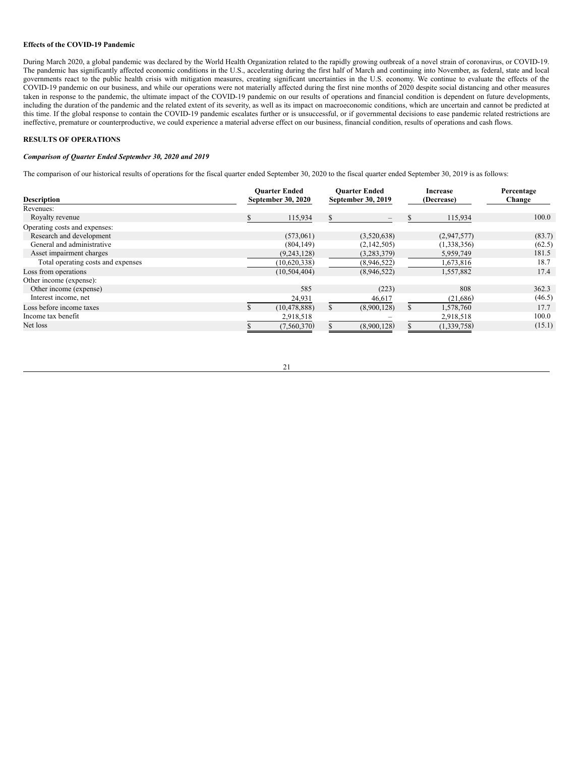## **Effects of the COVID-19 Pandemic**

During March 2020, a global pandemic was declared by the World Health Organization related to the rapidly growing outbreak of a novel strain of coronavirus, or COVID-19. The pandemic has significantly affected economic conditions in the U.S., accelerating during the first half of March and continuing into November, as federal, state and local governments react to the public health crisis with mitigation measures, creating significant uncertainties in the U.S. economy. We continue to evaluate the effects of the COVID-19 pandemic on our business, and while our operations were not materially affected during the first nine months of 2020 despite social distancing and other measures taken in response to the pandemic, the ultimate impact of the COVID-19 pandemic on our results of operations and financial condition is dependent on future developments, including the duration of the pandemic and the related extent of its severity, as well as its impact on macroeconomic conditions, which are uncertain and cannot be predicted at this time. If the global response to contain the COVID-19 pandemic escalates further or is unsuccessful, or if governmental decisions to ease pandemic related restrictions are ineffective, premature or counterproductive, we could experience a material adverse effect on our business, financial condition, results of operations and cash flows.

# **RESULTS OF OPERATIONS**

# *Comparison of Quarter Ended September 30, 2020 and 2019*

The comparison of our historical results of operations for the fiscal quarter ended September 30, 2020 to the fiscal quarter ended September 30, 2019 is as follows:

| <b>Description</b>                 | <b>Ouarter Ended</b><br>September 30, 2020 |                | <b>Ouarter Ended</b><br><b>September 30, 2019</b> |             | Increase<br>(Decrease) |             | Percentage<br>Change |  |
|------------------------------------|--------------------------------------------|----------------|---------------------------------------------------|-------------|------------------------|-------------|----------------------|--|
| Revenues:                          |                                            |                |                                                   |             |                        |             |                      |  |
| Royalty revenue                    |                                            | 115,934        | \$.                                               |             |                        | 115,934     | 100.0                |  |
| Operating costs and expenses:      |                                            |                |                                                   |             |                        |             |                      |  |
| Research and development           |                                            | (573,061)      |                                                   | (3,520,638) |                        | (2,947,577) | (83.7)               |  |
| General and administrative         |                                            | (804, 149)     |                                                   | (2,142,505) |                        | (1,338,356) | (62.5)               |  |
| Asset impairment charges           |                                            | (9,243,128)    |                                                   | (3,283,379) |                        | 5,959,749   | 181.5                |  |
| Total operating costs and expenses |                                            | (10,620,338)   |                                                   | (8,946,522) |                        | 1,673,816   | 18.7                 |  |
| Loss from operations               |                                            | (10, 504, 404) |                                                   | (8,946,522) |                        | 1,557,882   | 17.4                 |  |
| Other income (expense):            |                                            |                |                                                   |             |                        |             |                      |  |
| Other income (expense)             |                                            | 585            |                                                   | (223)       |                        | 808         | 362.3                |  |
| Interest income, net               |                                            | 24,931         |                                                   | 46,617      |                        | (21,686)    | (46.5)               |  |
| Loss before income taxes           |                                            | (10, 478, 888) | \$                                                | (8,900,128) | \$                     | 1,578,760   | 17.7                 |  |
| Income tax benefit                 |                                            | 2,918,518      |                                                   |             |                        | 2,918,518   | 100.0                |  |
| Net loss                           |                                            | (7,560,370)    |                                                   | (8,900,128) |                        | (1,339,758) | (15.1)               |  |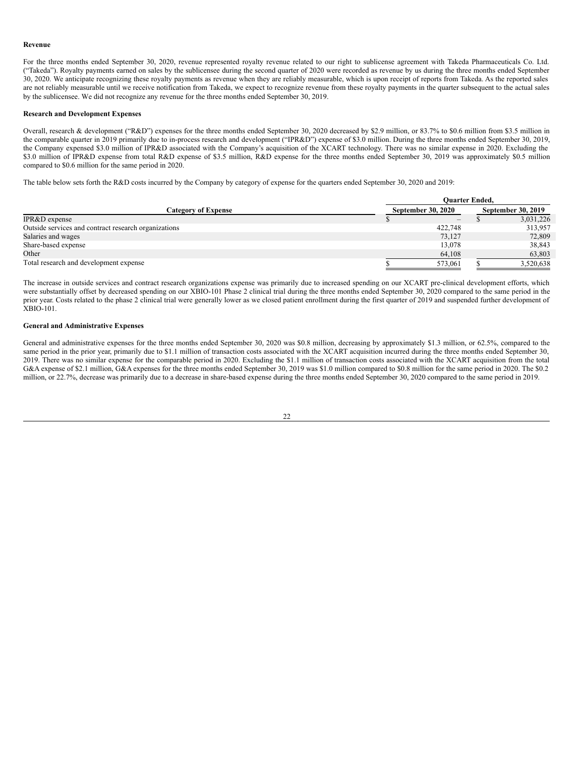#### **Revenue**

For the three months ended September 30, 2020, revenue represented royalty revenue related to our right to sublicense agreement with Takeda Pharmaceuticals Co. Ltd. ("Takeda"). Royalty payments earned on sales by the sublicensee during the second quarter of 2020 were recorded as revenue by us during the three months ended September 30, 2020. We anticipate recognizing these royalty payments as revenue when they are reliably measurable, which is upon receipt of reports from Takeda. As the reported sales are not reliably measurable until we receive notification from Takeda, we expect to recognize revenue from these royalty payments in the quarter subsequent to the actual sales by the sublicensee. We did not recognize any revenue for the three months ended September 30, 2019.

# **Research and Development Expenses**

Overall, research & development ("R&D") expenses for the three months ended September 30, 2020 decreased by \$2.9 million, or 83.7% to \$0.6 million from \$3.5 million in the comparable quarter in 2019 primarily due to in-process research and development ("IPR&D") expense of \$3.0 million. During the three months ended September 30, 2019, the Company expensed \$3.0 million of IPR&D associated with the Company's acquisition of the XCART technology. There was no similar expense in 2020. Excluding the \$3.0 million of IPR&D expense from total R&D expense of \$3.5 million, R&D expense for the three months ended September 30, 2019 was approximately \$0.5 million compared to \$0.6 million for the same period in 2020.

The table below sets forth the R&D costs incurred by the Company by category of expense for the quarters ended September 30, 2020 and 2019:

|                                                      | <b>Ouarter Ended.</b> |                           |  |                           |  |  |
|------------------------------------------------------|-----------------------|---------------------------|--|---------------------------|--|--|
| Category of Expense                                  |                       | <b>September 30, 2020</b> |  | <b>September 30, 2019</b> |  |  |
| IPR&D expense                                        |                       | $-$                       |  | 3,031,226                 |  |  |
| Outside services and contract research organizations |                       | 422,748                   |  | 313,957                   |  |  |
| Salaries and wages                                   |                       | 73.127                    |  | 72,809                    |  |  |
| Share-based expense                                  |                       | 13.078                    |  | 38,843                    |  |  |
| Other                                                |                       | 64,108                    |  | 63,803                    |  |  |
| Total research and development expense               |                       | 573,061                   |  | 3,520,638                 |  |  |

The increase in outside services and contract research organizations expense was primarily due to increased spending on our XCART pre-clinical development efforts, which were substantially offset by decreased spending on our XBIO-101 Phase 2 clinical trial during the three months ended September 30, 2020 compared to the same period in the prior year. Costs related to the phase 2 clinical trial were generally lower as we closed patient enrollment during the first quarter of 2019 and suspended further development of XBIO-101.

# **General and Administrative Expenses**

General and administrative expenses for the three months ended September 30, 2020 was \$0.8 million, decreasing by approximately \$1.3 million, or 62.5%, compared to the same period in the prior year, primarily due to \$1.1 million of transaction costs associated with the XCART acquisition incurred during the three months ended September 30, 2019. There was no similar expense for the comparable period in 2020. Excluding the \$1.1 million of transaction costs associated with the XCART acquisition from the total G&A expense of \$2.1 million, G&A expenses for the three months ended September 30, 2019 was \$1.0 million compared to \$0.8 million for the same period in 2020. The \$0.2 million, or 22.7%, decrease was primarily due to a decrease in share-based expense during the three months ended September 30, 2020 compared to the same period in 2019.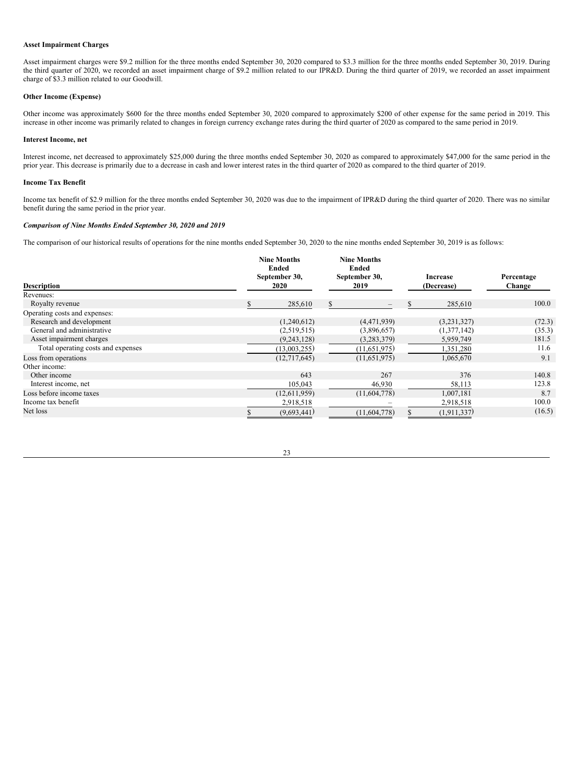## **Asset Impairment Charges**

Asset impairment charges were \$9.2 million for the three months ended September 30, 2020 compared to \$3.3 million for the three months ended September 30, 2019. During the third quarter of 2020, we recorded an asset impairment charge of \$9.2 million related to our IPR&D. During the third quarter of 2019, we recorded an asset impairment charge of \$3.3 million related to our Goodwill.

# **Other Income (Expense)**

Other income was approximately \$600 for the three months ended September 30, 2020 compared to approximately \$200 of other expense for the same period in 2019. This increase in other income was primarily related to changes in foreign currency exchange rates during the third quarter of 2020 as compared to the same period in 2019.

#### **Interest Income, net**

Interest income, net decreased to approximately \$25,000 during the three months ended September 30, 2020 as compared to approximately \$47,000 for the same period in the prior year. This decrease is primarily due to a decrease in cash and lower interest rates in the third quarter of 2020 as compared to the third quarter of 2019.

# **Income Tax Benefit**

Income tax benefit of \$2.9 million for the three months ended September 30, 2020 was due to the impairment of IPR&D during the third quarter of 2020. There was no similar benefit during the same period in the prior year.

# *Comparison of Nine Months Ended September 30, 2020 and 2019*

The comparison of our historical results of operations for the nine months ended September 30, 2020 to the nine months ended September 30, 2019 is as follows:

| <b>Description</b>                 | <b>Nine Months</b><br><b>Ended</b><br>September 30,<br>2020 | <b>Nine Months</b><br><b>Ended</b><br>September 30,<br>2019 | Increase<br>(Decrease) | Percentage<br>Change |
|------------------------------------|-------------------------------------------------------------|-------------------------------------------------------------|------------------------|----------------------|
| Revenues:                          |                                                             |                                                             |                        |                      |
| Royalty revenue                    | 285,610                                                     | \$                                                          | 285,610                | 100.0                |
| Operating costs and expenses:      |                                                             |                                                             |                        |                      |
| Research and development           | (1,240,612)                                                 | (4, 471, 939)                                               | (3,231,327)            | (72.3)               |
| General and administrative         | (2,519,515)                                                 | (3,896,657)                                                 | (1,377,142)            | (35.3)               |
| Asset impairment charges           | (9, 243, 128)                                               | (3,283,379)                                                 | 5,959,749              | 181.5                |
| Total operating costs and expenses | (13,003,255)                                                | (11,651,975)                                                | 1,351,280              | 11.6                 |
| Loss from operations               | (12,717,645)                                                | (11,651,975)                                                | 1,065,670              | 9.1                  |
| Other income:                      |                                                             |                                                             |                        |                      |
| Other income                       | 643                                                         | 267                                                         | 376                    | 140.8                |
| Interest income, net               | 105,043                                                     | 46,930                                                      | 58,113                 | 123.8                |
| Loss before income taxes           | (12,611,959)                                                | (11,604,778)                                                | 1,007,181              | 8.7                  |
| Income tax benefit                 | 2,918,518                                                   |                                                             | 2,918,518              | 100.0                |
| Net loss                           | (9,693,441)                                                 | (11,604,778)                                                | (1,911,337)            | (16.5)               |

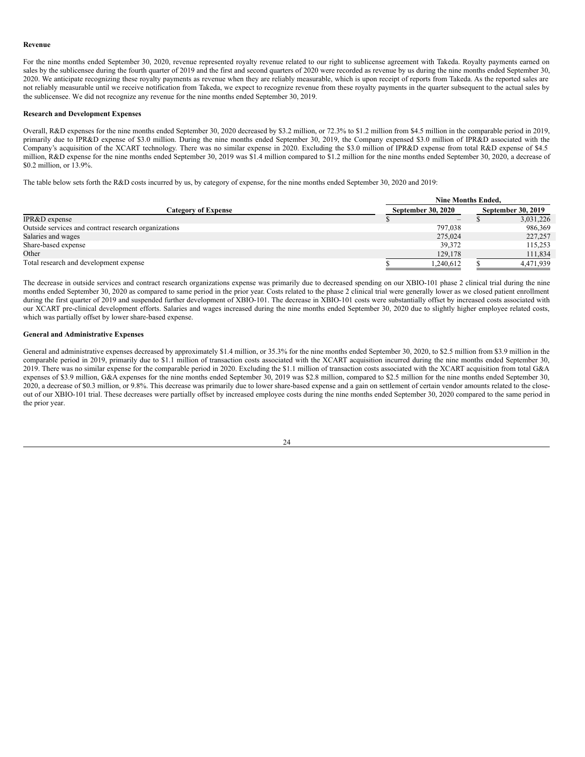#### **Revenue**

For the nine months ended September 30, 2020, revenue represented royalty revenue related to our right to sublicense agreement with Takeda. Royalty payments earned on sales by the sublicensee during the fourth quarter of 2019 and the first and second quarters of 2020 were recorded as revenue by us during the nine months ended September 30, 2020. We anticipate recognizing these royalty payments as revenue when they are reliably measurable, which is upon receipt of reports from Takeda. As the reported sales are not reliably measurable until we receive notification from Takeda, we expect to recognize revenue from these royalty payments in the quarter subsequent to the actual sales by the sublicensee. We did not recognize any revenue for the nine months ended September 30, 2019.

# **Research and Development Expenses**

Overall, R&D expenses for the nine months ended September 30, 2020 decreased by \$3.2 million, or 72.3% to \$1.2 million from \$4.5 million in the comparable period in 2019, primarily due to IPR&D expense of \$3.0 million. During the nine months ended September 30, 2019, the Company expensed \$3.0 million of IPR&D associated with the Company's acquisition of the XCART technology. There was no similar expense in 2020. Excluding the \$3.0 million of IPR&D expense from total R&D expense of \$4.5 million, R&D expense for the nine months ended September 30, 2019 was \$1.4 million compared to \$1.2 million for the nine months ended September 30, 2020, a decrease of \$0.2 million, or 13.9%.

The table below sets forth the R&D costs incurred by us, by category of expense, for the nine months ended September 30, 2020 and 2019:

|                                                      | <b>Nine Months Ended.</b> |                           |  |                    |  |  |
|------------------------------------------------------|---------------------------|---------------------------|--|--------------------|--|--|
| Category of Expense                                  |                           | <b>September 30, 2020</b> |  | September 30, 2019 |  |  |
| IPR&D expense                                        |                           | -                         |  | 3,031,226          |  |  |
| Outside services and contract research organizations |                           | 797.038                   |  | 986,369            |  |  |
| Salaries and wages                                   |                           | 275,024                   |  | 227,257            |  |  |
| Share-based expense                                  |                           | 39.372                    |  | 115,253            |  |  |
| Other                                                |                           | 129,178                   |  | 111,834            |  |  |
| Total research and development expense               |                           | 1.240.612                 |  | 4,471,939          |  |  |

The decrease in outside services and contract research organizations expense was primarily due to decreased spending on our XBIO-101 phase 2 clinical trial during the nine months ended September 30, 2020 as compared to same period in the prior year. Costs related to the phase 2 clinical trial were generally lower as we closed patient enrollment during the first quarter of 2019 and suspended further development of XBIO-101. The decrease in XBIO-101 costs were substantially offset by increased costs associated with our XCART pre-clinical development efforts. Salaries and wages increased during the nine months ended September 30, 2020 due to slightly higher employee related costs, which was partially offset by lower share-based expense.

## **General and Administrative Expenses**

General and administrative expenses decreased by approximately \$1.4 million, or 35.3% for the nine months ended September 30, 2020, to \$2.5 million from \$3.9 million in the comparable period in 2019, primarily due to \$1.1 million of transaction costs associated with the XCART acquisition incurred during the nine months ended September 30, 2019. There was no similar expense for the comparable period in 2020. Excluding the \$1.1 million of transaction costs associated with the XCART acquisition from total G&A expenses of \$3.9 million, G&A expenses for the nine months ended September 30, 2019 was \$2.8 million, compared to \$2.5 million for the nine months ended September 30, 2020, a decrease of \$0.3 million, or 9.8%. This decrease was primarily due to lower share-based expense and a gain on settlement of certain vendor amounts related to the closeout of our XBIO-101 trial. These decreases were partially offset by increased employee costs during the nine months ended September 30, 2020 compared to the same period in the prior year.

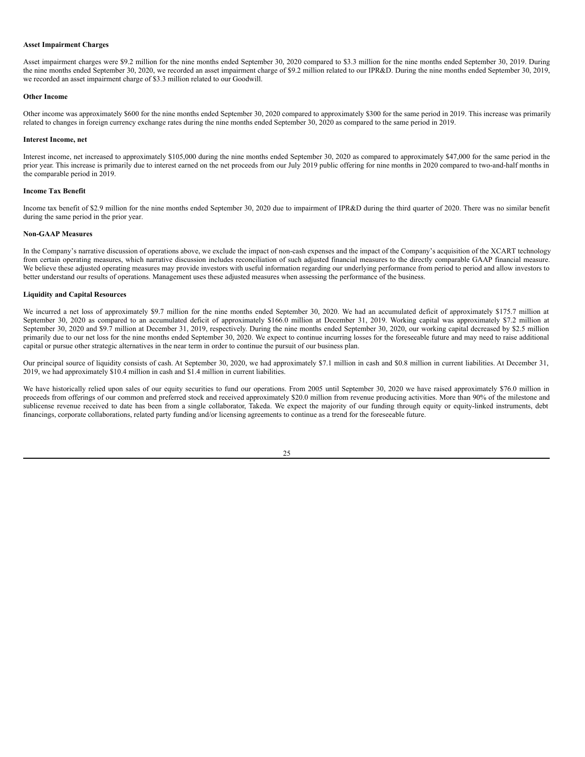## **Asset Impairment Charges**

Asset impairment charges were \$9.2 million for the nine months ended September 30, 2020 compared to \$3.3 million for the nine months ended September 30, 2019. During the nine months ended September 30, 2020, we recorded an asset impairment charge of \$9.2 million related to our IPR&D. During the nine months ended September 30, 2019, we recorded an asset impairment charge of \$3.3 million related to our Goodwill.

# **Other Income**

Other income was approximately \$600 for the nine months ended September 30, 2020 compared to approximately \$300 for the same period in 2019. This increase was primarily related to changes in foreign currency exchange rates during the nine months ended September 30, 2020 as compared to the same period in 2019.

#### **Interest Income, net**

Interest income, net increased to approximately \$105,000 during the nine months ended September 30, 2020 as compared to approximately \$47,000 for the same period in the prior year. This increase is primarily due to interest earned on the net proceeds from our July 2019 public offering for nine months in 2020 compared to two-and-half months in the comparable period in 2019.

### **Income Tax Benefit**

Income tax benefit of \$2.9 million for the nine months ended September 30, 2020 due to impairment of IPR&D during the third quarter of 2020. There was no similar benefit during the same period in the prior year.

#### **Non-GAAP Measures**

In the Company's narrative discussion of operations above, we exclude the impact of non-cash expenses and the impact of the Company's acquisition of the XCART technology from certain operating measures, which narrative discussion includes reconciliation of such adjusted financial measures to the directly comparable GAAP financial measure. We believe these adjusted operating measures may provide investors with useful information regarding our underlying performance from period to period and allow investors to better understand our results of operations. Management uses these adjusted measures when assessing the performance of the business.

## **Liquidity and Capital Resources**

We incurred a net loss of approximately \$9.7 million for the nine months ended September 30, 2020. We had an accumulated deficit of approximately \$175.7 million at September 30, 2020 as compared to an accumulated deficit of approximately \$166.0 million at December 31, 2019. Working capital was approximately \$7.2 million at September 30, 2020 and \$9.7 million at December 31, 2019, respectively. During the nine months ended September 30, 2020, our working capital decreased by \$2.5 million primarily due to our net loss for the nine months ended September 30, 2020. We expect to continue incurring losses for the foreseeable future and may need to raise additional capital or pursue other strategic alternatives in the near term in order to continue the pursuit of our business plan.

Our principal source of liquidity consists of cash. At September 30, 2020, we had approximately \$7.1 million in cash and \$0.8 million in current liabilities. At December 31, 2019, we had approximately \$10.4 million in cash and \$1.4 million in current liabilities.

We have historically relied upon sales of our equity securities to fund our operations. From 2005 until September 30, 2020 we have raised approximately \$76.0 million in proceeds from offerings of our common and preferred stock and received approximately \$20.0 million from revenue producing activities. More than 90% of the milestone and sublicense revenue received to date has been from a single collaborator, Takeda. We expect the majority of our funding through equity or equity-linked instruments, debt financings, corporate collaborations, related party funding and/or licensing agreements to continue as a trend for the foreseeable future.

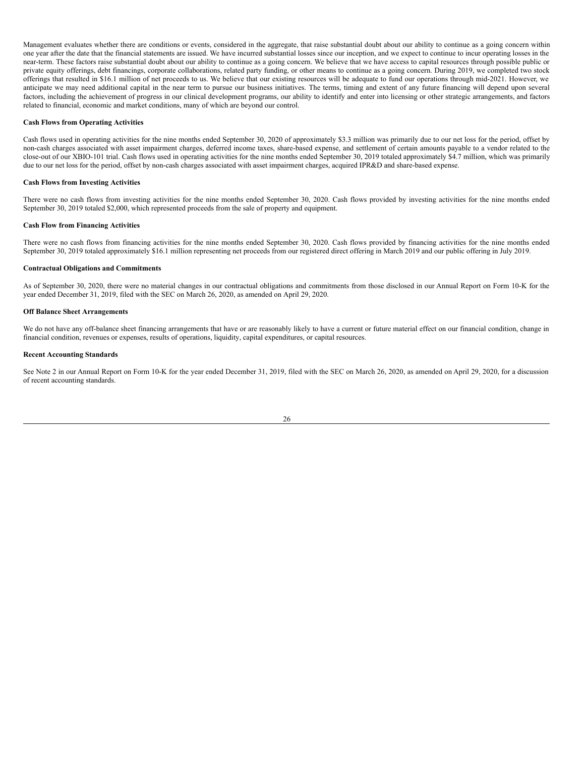Management evaluates whether there are conditions or events, considered in the aggregate, that raise substantial doubt about our ability to continue as a going concern within one year after the date that the financial statements are issued. We have incurred substantial losses since our inception, and we expect to continue to incur operating losses in the near-term. These factors raise substantial doubt about our ability to continue as a going concern. We believe that we have access to capital resources through possible public or private equity offerings, debt financings, corporate collaborations, related party funding, or other means to continue as a going concern. During 2019, we completed two stock offerings that resulted in \$16.1 million of net proceeds to us. We believe that our existing resources will be adequate to fund our operations through mid-2021. However, we anticipate we may need additional capital in the near term to pursue our business initiatives. The terms, timing and extent of any future financing will depend upon several factors, including the achievement of progress in our clinical development programs, our ability to identify and enter into licensing or other strategic arrangements, and factors related to financial, economic and market conditions, many of which are beyond our control.

# **Cash Flows from Operating Activities**

Cash flows used in operating activities for the nine months ended September 30, 2020 of approximately \$3.3 million was primarily due to our net loss for the period, offset by non-cash charges associated with asset impairment charges, deferred income taxes, share-based expense, and settlement of certain amounts payable to a vendor related to the close-out of our XBIO-101 trial. Cash flows used in operating activities for the nine months ended September 30, 2019 totaled approximately \$4.7 million, which was primarily due to our net loss for the period, offset by non-cash charges associated with asset impairment charges, acquired IPR&D and share-based expense.

## **Cash Flows from Investing Activities**

There were no cash flows from investing activities for the nine months ended September 30, 2020. Cash flows provided by investing activities for the nine months ended September 30, 2019 totaled \$2,000, which represented proceeds from the sale of property and equipment.

# **Cash Flow from Financing Activities**

There were no cash flows from financing activities for the nine months ended September 30, 2020. Cash flows provided by financing activities for the nine months ended September 30, 2019 totaled approximately \$16.1 million representing net proceeds from our registered direct offering in March 2019 and our public offering in July 2019.

## **Contractual Obligations and Commitments**

As of September 30, 2020, there were no material changes in our contractual obligations and commitments from those disclosed in our Annual Report on Form 10-K for the year ended December 31, 2019, filed with the SEC on March 26, 2020, as amended on April 29, 2020.

## **Off Balance Sheet Arrangements**

We do not have any off-balance sheet financing arrangements that have or are reasonably likely to have a current or future material effect on our financial condition, change in financial condition, revenues or expenses, results of operations, liquidity, capital expenditures, or capital resources.

#### **Recent Accounting Standards**

See Note 2 in our Annual Report on Form 10-K for the year ended December 31, 2019, filed with the SEC on March 26, 2020, as amended on April 29, 2020, for a discussion of recent accounting standards.

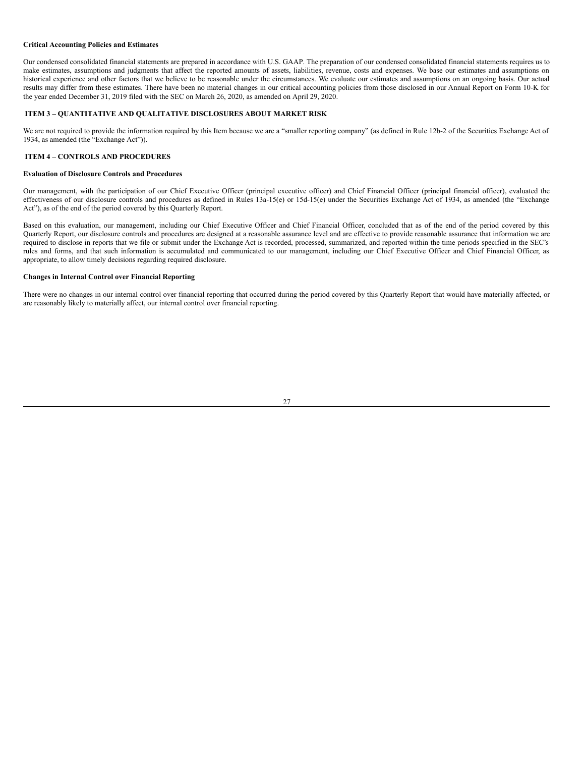## **Critical Accounting Policies and Estimates**

Our condensed consolidated financial statements are prepared in accordance with U.S. GAAP. The preparation of our condensed consolidated financial statements requires us to make estimates, assumptions and judgments that affect the reported amounts of assets, liabilities, revenue, costs and expenses. We base our estimates and assumptions on historical experience and other factors that we believe to be reasonable under the circumstances. We evaluate our estimates and assumptions on an ongoing basis. Our actual results may differ from these estimates. There have been no material changes in our critical accounting policies from those disclosed in our Annual Report on Form 10-K for the year ended December 31, 2019 filed with the SEC on March 26, 2020, as amended on April 29, 2020.

# <span id="page-26-0"></span>**ITEM 3 – QUANTITATIVE AND QUALITATIVE DISCLOSURES ABOUT MARKET RISK**

We are not required to provide the information required by this Item because we are a "smaller reporting company" (as defined in Rule 12b-2 of the Securities Exchange Act of 1934, as amended (the "Exchange Act")).

# <span id="page-26-1"></span>**ITEM 4 – CONTROLS AND PROCEDURES**

# **Evaluation of Disclosure Controls and Procedures**

Our management, with the participation of our Chief Executive Officer (principal executive officer) and Chief Financial Officer (principal financial officer), evaluated the effectiveness of our disclosure controls and procedures as defined in Rules 13a-15(e) or 15d-15(e) under the Securities Exchange Act of 1934, as amended (the "Exchange Act"), as of the end of the period covered by this Quarterly Report.

Based on this evaluation, our management, including our Chief Executive Officer and Chief Financial Officer, concluded that as of the end of the period covered by this Quarterly Report, our disclosure controls and procedures are designed at a reasonable assurance level and are effective to provide reasonable assurance that information we are required to disclose in reports that we file or submit under the Exchange Act is recorded, processed, summarized, and reported within the time periods specified in the SEC's rules and forms, and that such information is accumulated and communicated to our management, including our Chief Executive Officer and Chief Financial Officer, as appropriate, to allow timely decisions regarding required disclosure.

# **Changes in Internal Control over Financial Reporting**

There were no changes in our internal control over financial reporting that occurred during the period covered by this Quarterly Report that would have materially affected, or are reasonably likely to materially affect, our internal control over financial reporting.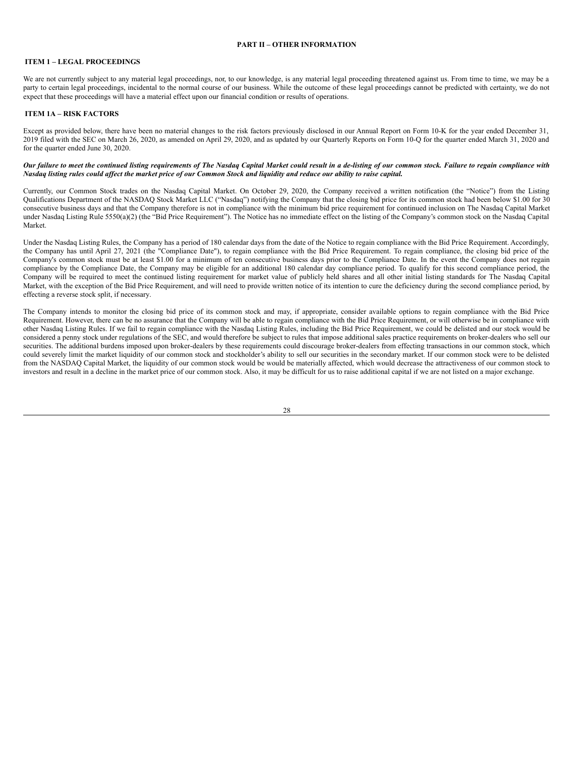## <span id="page-27-0"></span>**PART II – OTHER INFORMATION**

# <span id="page-27-1"></span>**ITEM 1 – LEGAL PROCEEDINGS**

We are not currently subject to any material legal proceedings, nor, to our knowledge, is any material legal proceeding threatened against us. From time to time, we may be a party to certain legal proceedings, incidental to the normal course of our business. While the outcome of these legal proceedings cannot be predicted with certainty, we do not expect that these proceedings will have a material effect upon our financial condition or results of operations.

## <span id="page-27-2"></span>**ITEM 1A – RISK FACTORS**

Except as provided below, there have been no material changes to the risk factors previously disclosed in our Annual Report on Form 10-K for the year ended December 31, 2019 filed with the SEC on March 26, 2020, as amended on April 29, 2020, and as updated by our Quarterly Reports on Form 10-Q for the quarter ended March 31, 2020 and for the quarter ended June 30, 2020.

# Our failure to meet the continued listing requirements of The Nasdaq Capital Market could result in a de-listing of our common stock. Failure to regain compliance with Nasdaq listing rules could affect the market price of our Common Stock and liquidity and reduce our ability to raise capital.

Currently, our Common Stock trades on the Nasdaq Capital Market. On October 29, 2020, the Company received a written notification (the "Notice") from the Listing Qualifications Department of the NASDAQ Stock Market LLC ("Nasdaq") notifying the Company that the closing bid price for its common stock had been below \$1.00 for 30 consecutive business days and that the Company therefore is not in compliance with the minimum bid price requirement for continued inclusion on The Nasdaq Capital Market under Nasdaq Listing Rule 5550(a)(2) (the "Bid Price Requirement"). The Notice has no immediate effect on the listing of the Company's common stock on the Nasdaq Capital Market.

Under the Nasdaq Listing Rules, the Company has a period of 180 calendar days from the date of the Notice to regain compliance with the Bid Price Requirement. Accordingly, the Company has until April 27, 2021 (the "Compliance Date"), to regain compliance with the Bid Price Requirement. To regain compliance, the closing bid price of the Company's common stock must be at least \$1.00 for a minimum of ten consecutive business days prior to the Compliance Date. In the event the Company does not regain compliance by the Compliance Date, the Company may be eligible for an additional 180 calendar day compliance period. To qualify for this second compliance period, the Company will be required to meet the continued listing requirement for market value of publicly held shares and all other initial listing standards for The Nasdaq Capital Market, with the exception of the Bid Price Requirement, and will need to provide written notice of its intention to cure the deficiency during the second compliance period, by effecting a reverse stock split, if necessary.

The Company intends to monitor the closing bid price of its common stock and may, if appropriate, consider available options to regain compliance with the Bid Price Requirement. However, there can be no assurance that the Company will be able to regain compliance with the Bid Price Requirement, or will otherwise be in compliance with other Nasdaq Listing Rules. If we fail to regain compliance with the Nasdaq Listing Rules, including the Bid Price Requirement, we could be delisted and our stock would be considered a penny stock under regulations of the SEC, and would therefore be subject to rules that impose additional sales practice requirements on broker-dealers who sell our securities. The additional burdens imposed upon broker-dealers by these requirements could discourage broker-dealers from effecting transactions in our common stock, which could severely limit the market liquidity of our common stock and stockholder's ability to sell our securities in the secondary market. If our common stock were to be delisted from the NASDAQ Capital Market, the liquidity of our common stock would be would be materially affected, which would decrease the attractiveness of our common stock to investors and result in a decline in the market price of our common stock. Also, it may be difficult for us to raise additional capital if we are not listed on a major exchange.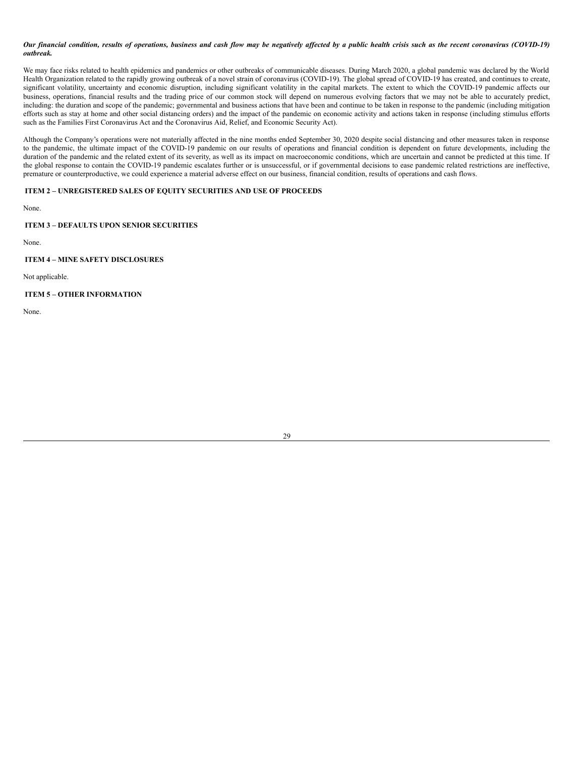# Our financial condition, results of operations, business and cash flow may be negatively affected by a public health crisis such as the recent coronavirus (COVID-19) *outbreak.*

We may face risks related to health epidemics and pandemics or other outbreaks of communicable diseases. During March 2020, a global pandemic was declared by the World Health Organization related to the rapidly growing outbreak of a novel strain of coronavirus (COVID-19). The global spread of COVID-19 has created, and continues to create, significant volatility, uncertainty and economic disruption, including significant volatility in the capital markets. The extent to which the COVID-19 pandemic affects our business, operations, financial results and the trading price of our common stock will depend on numerous evolving factors that we may not be able to accurately predict, including: the duration and scope of the pandemic; governmental and business actions that have been and continue to be taken in response to the pandemic (including mitigation efforts such as stay at home and other social distancing orders) and the impact of the pandemic on economic activity and actions taken in response (including stimulus efforts such as the Families First Coronavirus Act and the Coronavirus Aid, Relief, and Economic Security Act).

Although the Company's operations were not materially affected in the nine months ended September 30, 2020 despite social distancing and other measures taken in response to the pandemic, the ultimate impact of the COVID-19 pandemic on our results of operations and financial condition is dependent on future developments, including the duration of the pandemic and the related extent of its severity, as well as its impact on macroeconomic conditions, which are uncertain and cannot be predicted at this time. If the global response to contain the COVID-19 pandemic escalates further or is unsuccessful, or if governmental decisions to ease pandemic related restrictions are ineffective, premature or counterproductive, we could experience a material adverse effect on our business, financial condition, results of operations and cash flows.

# <span id="page-28-0"></span>**ITEM 2 – UNREGISTERED SALES OF EQUITY SECURITIES AND USE OF PROCEEDS**

None.

# <span id="page-28-1"></span>**ITEM 3 – DEFAULTS UPON SENIOR SECURITIES**

None.

# <span id="page-28-2"></span>**ITEM 4 – MINE SAFETY DISCLOSURES**

Not applicable.

# <span id="page-28-3"></span>**ITEM 5 – OTHER INFORMATION**

None.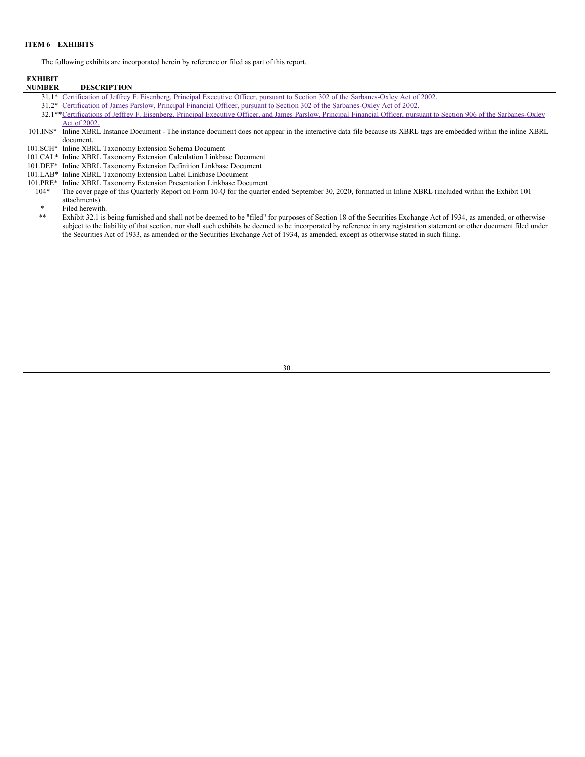## <span id="page-29-0"></span>**ITEM 6 – EXHIBITS**

The following exhibits are incorporated herein by reference or filed as part of this report.

# **EXHIBIT**

- **NUMBER DESCRIPTION**
- 31.1\* Certification of Jeffrey F. Eisenberg, Principal Executive Officer, pursuant to Section 302 of the [Sarbanes-Oxley](#page-31-0) Act of 2002.
- 31.2\* Certification of James Parslow, Principal Financial Officer, pursuant to Section 302 of the [Sarbanes-Oxley](#page-32-0) Act of 2002.
- 32.1\*\*Certifications of Jeffrey F. Eisenberg, Principal Executive Officer, and James Parslow, Principal Financial Officer, pursuant to Section 906 of the [Sarbanes-Oxley](#page-33-0) Act of 2002.
- 101.INS\* Inline XBRL Instance Document The instance document does not appear in the interactive data file because its XBRL tags are embedded within the inline XBRL document.
- 101.SCH\* Inline XBRL Taxonomy Extension Schema Document
- 101.CAL\* Inline XBRL Taxonomy Extension Calculation Linkbase Document
- 101.DEF\* Inline XBRL Taxonomy Extension Definition Linkbase Document
- 101.LAB\* Inline XBRL Taxonomy Extension Label Linkbase Document
- 101.PRE\* Inline XBRL Taxonomy Extension Presentation Linkbase Document
- 104\* The cover page of this Quarterly Report on Form 10-Q for the quarter ended September 30, 2020, formatted in Inline XBRL (included within the Exhibit 101 attachments).
	- \* Filed herewith.<br>\*\* Fybibit 32.1 is
	- Exhibit 32.1 is being furnished and shall not be deemed to be "filed" for purposes of Section 18 of the Securities Exchange Act of 1934, as amended, or otherwise subject to the liability of that section, nor shall such exhibits be deemed to be incorporated by reference in any registration statement or other document filed under the Securities Act of 1933, as amended or the Securities Exchange Act of 1934, as amended, except as otherwise stated in such filing.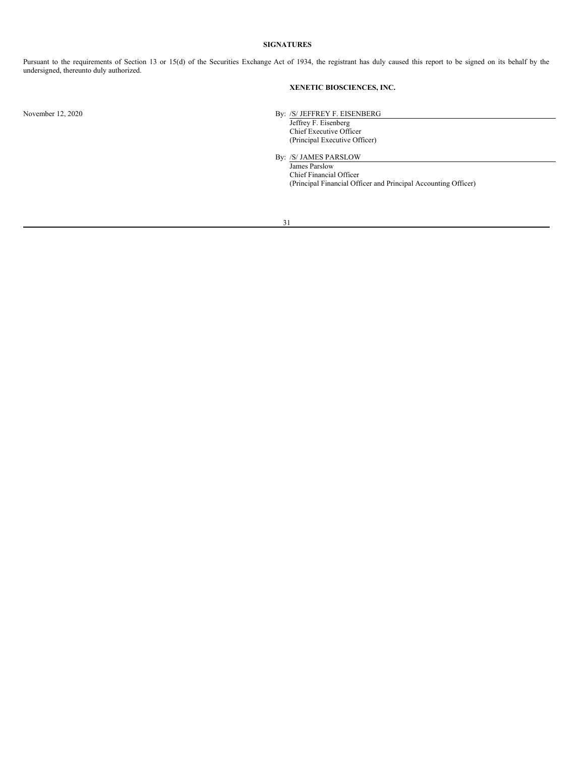## <span id="page-30-0"></span>**SIGNATURES**

Pursuant to the requirements of Section 13 or 15(d) of the Securities Exchange Act of 1934, the registrant has duly caused this report to be signed on its behalf by the undersigned, thereunto duly authorized.

# **XENETIC BIOSCIENCES, INC.**

November 12, 2020 By: /S/ JEFFREY F. EISENBERG Jeffrey F. Eisenberg

Chief Executive Officer (Principal Executive Officer)

By: /S/ JAMES PARSLOW

James Parslow Chief Financial Officer (Principal Financial Officer and Principal Accounting Officer)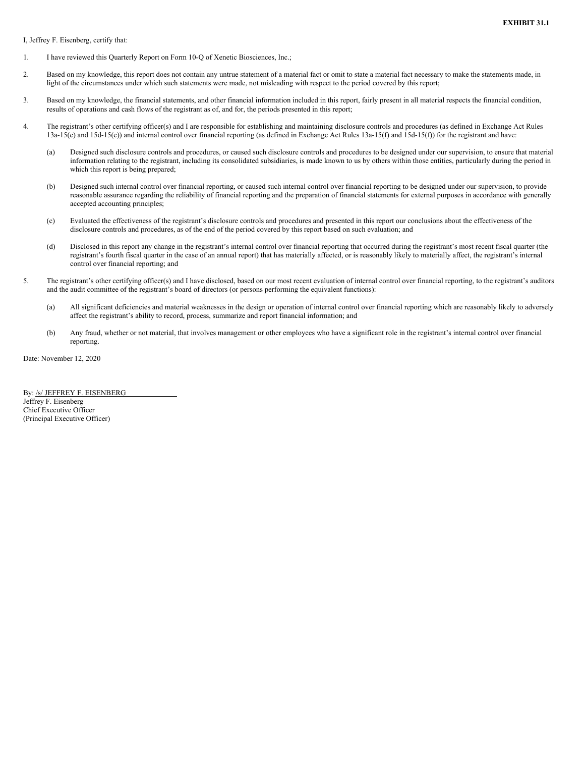<span id="page-31-0"></span>I, Jeffrey F. Eisenberg, certify that:

- 1. I have reviewed this Quarterly Report on Form 10-Q of Xenetic Biosciences, Inc.;
- 2. Based on my knowledge, this report does not contain any untrue statement of a material fact or omit to state a material fact necessary to make the statements made, in light of the circumstances under which such statements were made, not misleading with respect to the period covered by this report;
- 3. Based on my knowledge, the financial statements, and other financial information included in this report, fairly present in all material respects the financial condition, results of operations and cash flows of the registrant as of, and for, the periods presented in this report;
- 4. The registrant's other certifying officer(s) and I are responsible for establishing and maintaining disclosure controls and procedures (as defined in Exchange Act Rules 13a-15(e) and 15d-15(e)) and internal control over financial reporting (as defined in Exchange Act Rules 13a-15(f) and 15d-15(f)) for the registrant and have:
	- (a) Designed such disclosure controls and procedures, or caused such disclosure controls and procedures to be designed under our supervision, to ensure that material information relating to the registrant, including its consolidated subsidiaries, is made known to us by others within those entities, particularly during the period in which this report is being prepared;
	- (b) Designed such internal control over financial reporting, or caused such internal control over financial reporting to be designed under our supervision, to provide reasonable assurance regarding the reliability of financial reporting and the preparation of financial statements for external purposes in accordance with generally accepted accounting principles;
	- (c) Evaluated the effectiveness of the registrant's disclosure controls and procedures and presented in this report our conclusions about the effectiveness of the disclosure controls and procedures, as of the end of the period covered by this report based on such evaluation; and
	- (d) Disclosed in this report any change in the registrant's internal control over financial reporting that occurred during the registrant's most recent fiscal quarter (the registrant's fourth fiscal quarter in the case of an annual report) that has materially affected, or is reasonably likely to materially affect, the registrant's internal control over financial reporting; and
- 5. The registrant's other certifying officer(s) and I have disclosed, based on our most recent evaluation of internal control over financial reporting, to the registrant's auditors and the audit committee of the registrant's board of directors (or persons performing the equivalent functions):
	- (a) All significant deficiencies and material weaknesses in the design or operation of internal control over financial reporting which are reasonably likely to adversely affect the registrant's ability to record, process, summarize and report financial information; and
	- (b) Any fraud, whether or not material, that involves management or other employees who have a significant role in the registrant's internal control over financial reporting.

Date: November 12, 2020

By: /s/ JEFFREY F. EISENBERG Jeffrey F. Eisenberg Chief Executive Officer (Principal Executive Officer)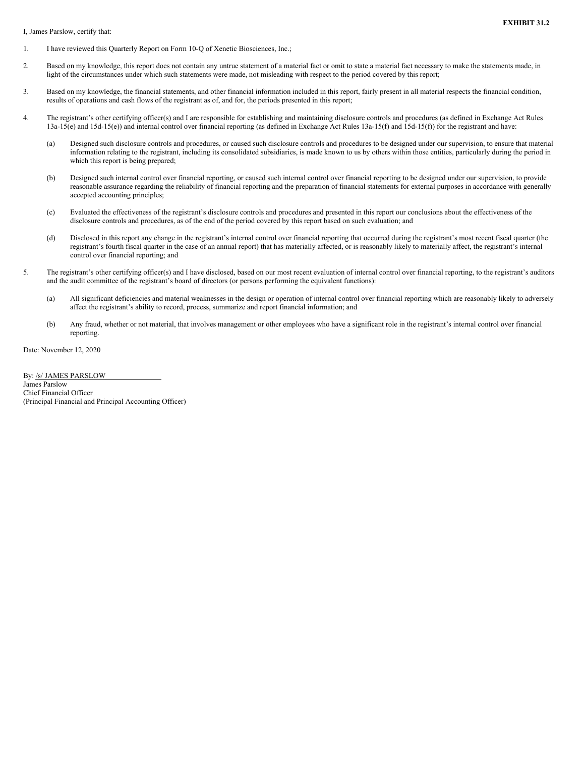<span id="page-32-0"></span>I, James Parslow, certify that:

- 1. I have reviewed this Quarterly Report on Form 10-Q of Xenetic Biosciences, Inc.;
- 2. Based on my knowledge, this report does not contain any untrue statement of a material fact or omit to state a material fact necessary to make the statements made, in light of the circumstances under which such statements were made, not misleading with respect to the period covered by this report;
- 3. Based on my knowledge, the financial statements, and other financial information included in this report, fairly present in all material respects the financial condition, results of operations and cash flows of the registrant as of, and for, the periods presented in this report;
- 4. The registrant's other certifying officer(s) and I are responsible for establishing and maintaining disclosure controls and procedures (as defined in Exchange Act Rules 13a-15(e) and 15d-15(e)) and internal control over financial reporting (as defined in Exchange Act Rules 13a-15(f) and 15d-15(f)) for the registrant and have:
	- (a) Designed such disclosure controls and procedures, or caused such disclosure controls and procedures to be designed under our supervision, to ensure that material information relating to the registrant, including its consolidated subsidiaries, is made known to us by others within those entities, particularly during the period in which this report is being prepared;
	- (b) Designed such internal control over financial reporting, or caused such internal control over financial reporting to be designed under our supervision, to provide reasonable assurance regarding the reliability of financial reporting and the preparation of financial statements for external purposes in accordance with generally accepted accounting principles;
	- (c) Evaluated the effectiveness of the registrant's disclosure controls and procedures and presented in this report our conclusions about the effectiveness of the disclosure controls and procedures, as of the end of the period covered by this report based on such evaluation; and
	- (d) Disclosed in this report any change in the registrant's internal control over financial reporting that occurred during the registrant's most recent fiscal quarter (the registrant's fourth fiscal quarter in the case of an annual report) that has materially affected, or is reasonably likely to materially affect, the registrant's internal control over financial reporting; and
- 5. The registrant's other certifying officer(s) and I have disclosed, based on our most recent evaluation of internal control over financial reporting, to the registrant's auditors and the audit committee of the registrant's board of directors (or persons performing the equivalent functions):
	- (a) All significant deficiencies and material weaknesses in the design or operation of internal control over financial reporting which are reasonably likely to adversely affect the registrant's ability to record, process, summarize and report financial information; and
	- (b) Any fraud, whether or not material, that involves management or other employees who have a significant role in the registrant's internal control over financial reporting.

Date: November 12, 2020

By: /s/ JAMES PARSLOW James Parslow Chief Financial Officer (Principal Financial and Principal Accounting Officer)